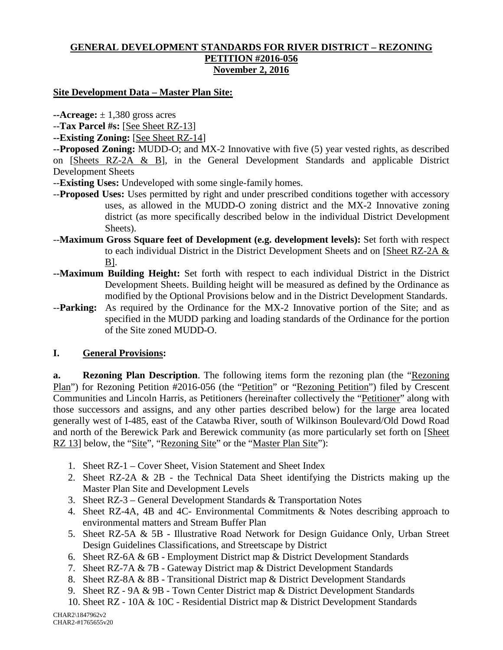#### **GENERAL DEVELOPMENT STANDARDS FOR RIVER DISTRICT – REZONING PETITION #2016-056 November 2, 2016**

#### **Site Development Data – Master Plan Site:**

 $\text{-}$ **Acreage:**  $\pm$  1,380 gross acres

--**Tax Parcel #s:** [See Sheet RZ-13]

**--Existing Zoning:** [See Sheet RZ-14]

**--Proposed Zoning:** MUDD-O; and MX-2 Innovative with five (5) year vested rights, as described on [Sheets RZ-2A & B], in the General Development Standards and applicable District Development Sheets

- --**Existing Uses:** Undeveloped with some single-family homes.
- --**Proposed Uses:** Uses permitted by right and under prescribed conditions together with accessory uses, as allowed in the MUDD-O zoning district and the MX-2 Innovative zoning district (as more specifically described below in the individual District Development Sheets).
- --**Maximum Gross Square feet of Development (e.g. development levels):** Set forth with respect to each individual District in the District Development Sheets and on [Sheet RZ-2A & B].
- **--Maximum Building Height:** Set forth with respect to each individual District in the District Development Sheets. Building height will be measured as defined by the Ordinance as modified by the Optional Provisions below and in the District Development Standards.
- --**Parking:** As required by the Ordinance for the MX-2 Innovative portion of the Site; and as specified in the MUDD parking and loading standards of the Ordinance for the portion of the Site zoned MUDD-O.

#### **I. General Provisions:**

**a. Rezoning Plan Description**. The following items form the rezoning plan (the "Rezoning Plan") for Rezoning Petition #2016-056 (the "Petition" or "Rezoning Petition") filed by Crescent Communities and Lincoln Harris, as Petitioners (hereinafter collectively the "Petitioner" along with those successors and assigns, and any other parties described below) for the large area located generally west of I-485, east of the Catawba River, south of Wilkinson Boulevard/Old Dowd Road and north of the Berewick Park and Berewick community (as more particularly set forth on [Sheet RZ 13] below, the "Site", "Rezoning Site" or the "Master Plan Site"):

- 1. Sheet RZ-1 Cover Sheet, Vision Statement and Sheet Index
- 2. Sheet RZ-2A & 2B the Technical Data Sheet identifying the Districts making up the Master Plan Site and Development Levels
- 3. Sheet RZ-3 General Development Standards & Transportation Notes
- 4. Sheet RZ-4A, 4B and 4C- Environmental Commitments & Notes describing approach to environmental matters and Stream Buffer Plan
- 5. Sheet RZ-5A & 5B Illustrative Road Network for Design Guidance Only, Urban Street Design Guidelines Classifications, and Streetscape by District
- 6. Sheet RZ-6A & 6B Employment District map & District Development Standards
- 7. Sheet RZ-7A & 7B Gateway District map & District Development Standards
- 8. Sheet RZ-8A & 8B Transitional District map & District Development Standards
- 9. Sheet RZ 9A & 9B Town Center District map & District Development Standards
- 10. Sheet RZ 10A & 10C Residential District map & District Development Standards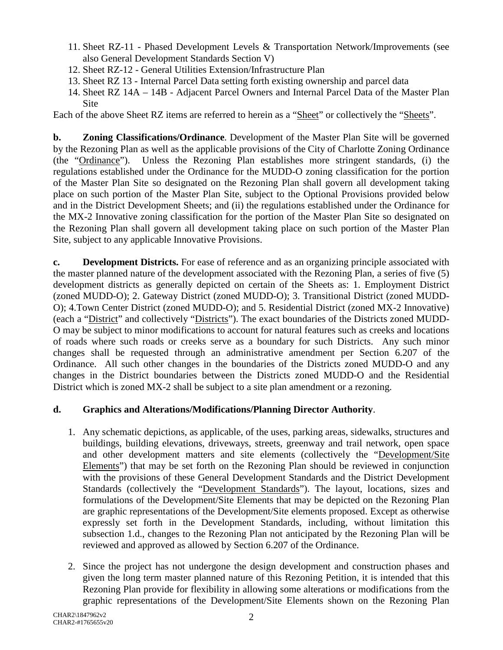- 11. Sheet RZ-11 Phased Development Levels & Transportation Network/Improvements (see also General Development Standards Section V)
- 12. Sheet RZ-12 General Utilities Extension/Infrastructure Plan
- 13. Sheet RZ 13 Internal Parcel Data setting forth existing ownership and parcel data
- 14. Sheet RZ 14A 14B Adjacent Parcel Owners and Internal Parcel Data of the Master Plan **Site**

Each of the above Sheet RZ items are referred to herein as a "Sheet" or collectively the "Sheets".

**b. Zoning Classifications/Ordinance**. Development of the Master Plan Site will be governed by the Rezoning Plan as well as the applicable provisions of the City of Charlotte Zoning Ordinance (the "Ordinance"). Unless the Rezoning Plan establishes more stringent standards, (i) the regulations established under the Ordinance for the MUDD-O zoning classification for the portion of the Master Plan Site so designated on the Rezoning Plan shall govern all development taking place on such portion of the Master Plan Site, subject to the Optional Provisions provided below and in the District Development Sheets; and (ii) the regulations established under the Ordinance for the MX-2 Innovative zoning classification for the portion of the Master Plan Site so designated on the Rezoning Plan shall govern all development taking place on such portion of the Master Plan Site, subject to any applicable Innovative Provisions.

**c. Development Districts.** For ease of reference and as an organizing principle associated with the master planned nature of the development associated with the Rezoning Plan, a series of five (5) development districts as generally depicted on certain of the Sheets as: 1. Employment District (zoned MUDD-O); 2. Gateway District (zoned MUDD-O); 3. Transitional District (zoned MUDD-O); 4.Town Center District (zoned MUDD-O); and 5. Residential District (zoned MX-2 Innovative) (each a "District" and collectively "Districts"). The exact boundaries of the Districts zoned MUDD-O may be subject to minor modifications to account for natural features such as creeks and locations of roads where such roads or creeks serve as a boundary for such Districts. Any such minor changes shall be requested through an administrative amendment per Section 6.207 of the Ordinance. All such other changes in the boundaries of the Districts zoned MUDD-O and any changes in the District boundaries between the Districts zoned MUDD-O and the Residential District which is zoned MX-2 shall be subject to a site plan amendment or a rezoning.

#### **d. Graphics and Alterations/Modifications/Planning Director Authority**.

- 1. Any schematic depictions, as applicable, of the uses, parking areas, sidewalks, structures and buildings, building elevations, driveways, streets, greenway and trail network, open space and other development matters and site elements (collectively the "Development/Site Elements") that may be set forth on the Rezoning Plan should be reviewed in conjunction with the provisions of these General Development Standards and the District Development Standards (collectively the "Development Standards"). The layout, locations, sizes and formulations of the Development/Site Elements that may be depicted on the Rezoning Plan are graphic representations of the Development/Site elements proposed. Except as otherwise expressly set forth in the Development Standards, including, without limitation this subsection 1.d., changes to the Rezoning Plan not anticipated by the Rezoning Plan will be reviewed and approved as allowed by Section 6.207 of the Ordinance.
- 2. Since the project has not undergone the design development and construction phases and given the long term master planned nature of this Rezoning Petition, it is intended that this Rezoning Plan provide for flexibility in allowing some alterations or modifications from the graphic representations of the Development/Site Elements shown on the Rezoning Plan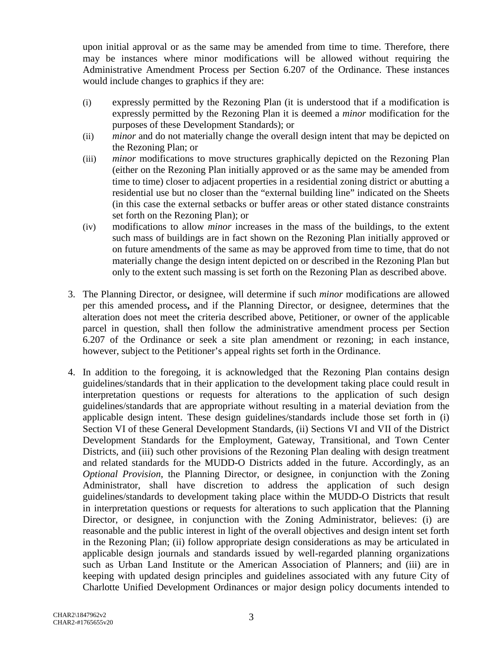upon initial approval or as the same may be amended from time to time. Therefore, there may be instances where minor modifications will be allowed without requiring the Administrative Amendment Process per Section 6.207 of the Ordinance. These instances would include changes to graphics if they are:

- (i) expressly permitted by the Rezoning Plan (it is understood that if a modification is expressly permitted by the Rezoning Plan it is deemed a *minor* modification for the purposes of these Development Standards); or
- (ii) *minor* and do not materially change the overall design intent that may be depicted on the Rezoning Plan; or
- (iii) *minor* modifications to move structures graphically depicted on the Rezoning Plan (either on the Rezoning Plan initially approved or as the same may be amended from time to time) closer to adjacent properties in a residential zoning district or abutting a residential use but no closer than the "external building line" indicated on the Sheets (in this case the external setbacks or buffer areas or other stated distance constraints set forth on the Rezoning Plan); or
- (iv) modifications to allow *minor* increases in the mass of the buildings, to the extent such mass of buildings are in fact shown on the Rezoning Plan initially approved or on future amendments of the same as may be approved from time to time, that do not materially change the design intent depicted on or described in the Rezoning Plan but only to the extent such massing is set forth on the Rezoning Plan as described above.
- 3. The Planning Director, or designee, will determine if such *minor* modifications are allowed per this amended process**,** and if the Planning Director, or designee, determines that the alteration does not meet the criteria described above, Petitioner, or owner of the applicable parcel in question, shall then follow the administrative amendment process per Section 6.207 of the Ordinance or seek a site plan amendment or rezoning; in each instance, however, subject to the Petitioner's appeal rights set forth in the Ordinance.
- 4. In addition to the foregoing, it is acknowledged that the Rezoning Plan contains design guidelines/standards that in their application to the development taking place could result in interpretation questions or requests for alterations to the application of such design guidelines/standards that are appropriate without resulting in a material deviation from the applicable design intent. These design guidelines/standards include those set forth in (i) Section VI of these General Development Standards, (ii) Sections VI and VII of the District Development Standards for the Employment, Gateway, Transitional, and Town Center Districts, and (iii) such other provisions of the Rezoning Plan dealing with design treatment and related standards for the MUDD-O Districts added in the future. Accordingly, as an *Optional Provision*, the Planning Director, or designee, in conjunction with the Zoning Administrator, shall have discretion to address the application of such design guidelines/standards to development taking place within the MUDD-O Districts that result in interpretation questions or requests for alterations to such application that the Planning Director, or designee, in conjunction with the Zoning Administrator, believes: (i) are reasonable and the public interest in light of the overall objectives and design intent set forth in the Rezoning Plan; (ii) follow appropriate design considerations as may be articulated in applicable design journals and standards issued by well-regarded planning organizations such as Urban Land Institute or the American Association of Planners; and (iii) are in keeping with updated design principles and guidelines associated with any future City of Charlotte Unified Development Ordinances or major design policy documents intended to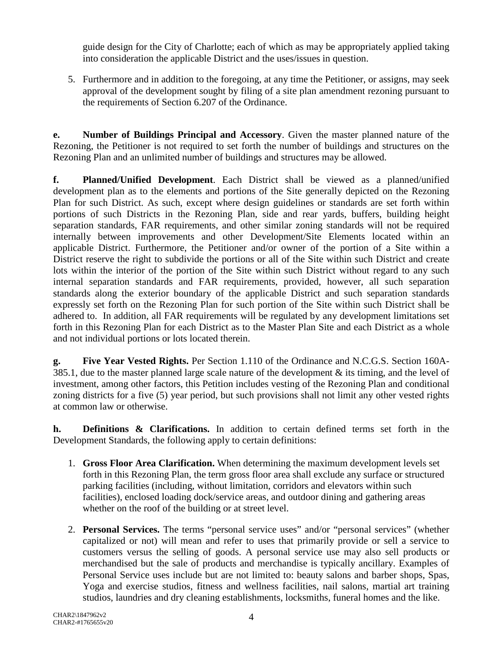guide design for the City of Charlotte; each of which as may be appropriately applied taking into consideration the applicable District and the uses/issues in question.

5. Furthermore and in addition to the foregoing, at any time the Petitioner, or assigns, may seek approval of the development sought by filing of a site plan amendment rezoning pursuant to the requirements of Section 6.207 of the Ordinance.

**e. Number of Buildings Principal and Accessory**. Given the master planned nature of the Rezoning, the Petitioner is not required to set forth the number of buildings and structures on the Rezoning Plan and an unlimited number of buildings and structures may be allowed.

**f. Planned/Unified Development**. Each District shall be viewed as a planned/unified development plan as to the elements and portions of the Site generally depicted on the Rezoning Plan for such District. As such, except where design guidelines or standards are set forth within portions of such Districts in the Rezoning Plan, side and rear yards, buffers, building height separation standards, FAR requirements, and other similar zoning standards will not be required internally between improvements and other Development/Site Elements located within an applicable District. Furthermore, the Petitioner and/or owner of the portion of a Site within a District reserve the right to subdivide the portions or all of the Site within such District and create lots within the interior of the portion of the Site within such District without regard to any such internal separation standards and FAR requirements, provided, however, all such separation standards along the exterior boundary of the applicable District and such separation standards expressly set forth on the Rezoning Plan for such portion of the Site within such District shall be adhered to. In addition, all FAR requirements will be regulated by any development limitations set forth in this Rezoning Plan for each District as to the Master Plan Site and each District as a whole and not individual portions or lots located therein.

**g. Five Year Vested Rights.** Per Section 1.110 of the Ordinance and N.C.G.S. Section 160A-385.1, due to the master planned large scale nature of the development & its timing, and the level of investment, among other factors, this Petition includes vesting of the Rezoning Plan and conditional zoning districts for a five (5) year period, but such provisions shall not limit any other vested rights at common law or otherwise.

**h. Definitions & Clarifications.** In addition to certain defined terms set forth in the Development Standards, the following apply to certain definitions:

- 1. **Gross Floor Area Clarification.** When determining the maximum development levels set forth in this Rezoning Plan, the term gross floor area shall exclude any surface or structured parking facilities (including, without limitation, corridors and elevators within such facilities), enclosed loading dock/service areas, and outdoor dining and gathering areas whether on the roof of the building or at street level.
- 2. **Personal Services.** The terms "personal service uses" and/or "personal services" (whether capitalized or not) will mean and refer to uses that primarily provide or sell a service to customers versus the selling of goods. A personal service use may also sell products or merchandised but the sale of products and merchandise is typically ancillary. Examples of Personal Service uses include but are not limited to: beauty salons and barber shops, Spas, Yoga and exercise studios, fitness and wellness facilities, nail salons, martial art training studios, laundries and dry cleaning establishments, locksmiths, funeral homes and the like.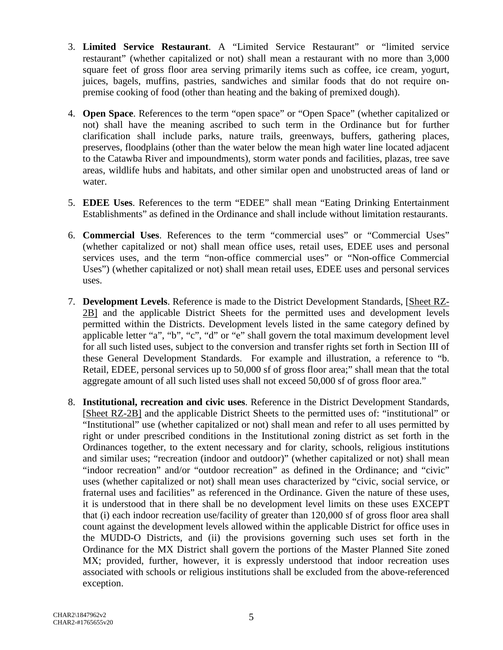- 3. **Limited Service Restaurant**. A "Limited Service Restaurant" or "limited service restaurant" (whether capitalized or not) shall mean a restaurant with no more than 3,000 square feet of gross floor area serving primarily items such as coffee, ice cream, yogurt, juices, bagels, muffins, pastries, sandwiches and similar foods that do not require onpremise cooking of food (other than heating and the baking of premixed dough).
- 4. **Open Space**. References to the term "open space" or "Open Space" (whether capitalized or not) shall have the meaning ascribed to such term in the Ordinance but for further clarification shall include parks, nature trails, greenways, buffers, gathering places, preserves, floodplains (other than the water below the mean high water line located adjacent to the Catawba River and impoundments), storm water ponds and facilities, plazas, tree save areas, wildlife hubs and habitats, and other similar open and unobstructed areas of land or water.
- 5. **EDEE Uses**. References to the term "EDEE" shall mean "Eating Drinking Entertainment Establishments" as defined in the Ordinance and shall include without limitation restaurants.
- 6. **Commercial Uses**. References to the term "commercial uses" or "Commercial Uses" (whether capitalized or not) shall mean office uses, retail uses, EDEE uses and personal services uses, and the term "non-office commercial uses" or "Non-office Commercial Uses") (whether capitalized or not) shall mean retail uses, EDEE uses and personal services uses.
- 7. **Development Levels**. Reference is made to the District Development Standards, [Sheet RZ-2B] and the applicable District Sheets for the permitted uses and development levels permitted within the Districts. Development levels listed in the same category defined by applicable letter "a", "b", "c", "d" or "e" shall govern the total maximum development level for all such listed uses, subject to the conversion and transfer rights set forth in Section III of these General Development Standards. For example and illustration, a reference to "b. Retail, EDEE, personal services up to 50,000 sf of gross floor area;" shall mean that the total aggregate amount of all such listed uses shall not exceed 50,000 sf of gross floor area."
- 8. **Institutional, recreation and civic uses**. Reference in the District Development Standards, [Sheet RZ-2B] and the applicable District Sheets to the permitted uses of: "institutional" or "Institutional" use (whether capitalized or not) shall mean and refer to all uses permitted by right or under prescribed conditions in the Institutional zoning district as set forth in the Ordinances together, to the extent necessary and for clarity, schools, religious institutions and similar uses; "recreation (indoor and outdoor)" (whether capitalized or not) shall mean "indoor recreation" and/or "outdoor recreation" as defined in the Ordinance; and "civic" uses (whether capitalized or not) shall mean uses characterized by "civic, social service, or fraternal uses and facilities" as referenced in the Ordinance. Given the nature of these uses, it is understood that in there shall be no development level limits on these uses EXCEPT that (i) each indoor recreation use/facility of greater than 120,000 sf of gross floor area shall count against the development levels allowed within the applicable District for office uses in the MUDD-O Districts, and (ii) the provisions governing such uses set forth in the Ordinance for the MX District shall govern the portions of the Master Planned Site zoned MX; provided, further, however, it is expressly understood that indoor recreation uses associated with schools or religious institutions shall be excluded from the above-referenced exception.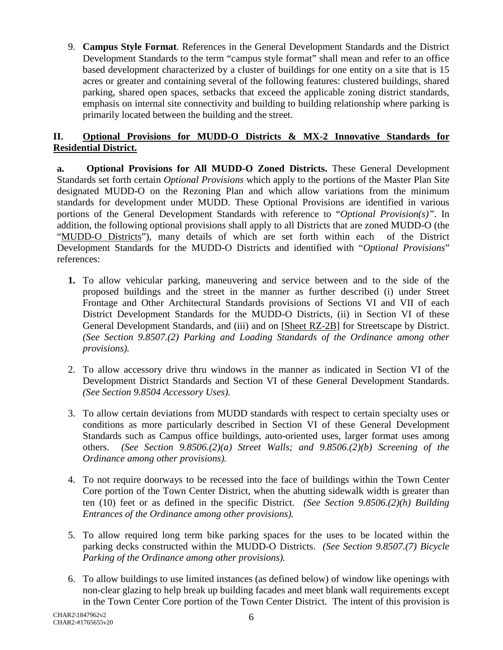9. **Campus Style Format**. References in the General Development Standards and the District Development Standards to the term "campus style format" shall mean and refer to an office based development characterized by a cluster of buildings for one entity on a site that is 15 acres or greater and containing several of the following features: clustered buildings, shared parking, shared open spaces, setbacks that exceed the applicable zoning district standards, emphasis on internal site connectivity and building to building relationship where parking is primarily located between the building and the street.

## **II. Optional Provisions for MUDD-O Districts & MX-2 Innovative Standards for Residential District.**

**a. Optional Provisions for All MUDD-O Zoned Districts.** These General Development Standards set forth certain *Optional Provisions* which apply to the portions of the Master Plan Site designated MUDD-O on the Rezoning Plan and which allow variations from the minimum standards for development under MUDD. These Optional Provisions are identified in various portions of the General Development Standards with reference to "*Optional Provision(s)"*. In addition, the following optional provisions shall apply to all Districts that are zoned MUDD-O (the "MUDD-O Districts"), many details of which are set forth within each of the District Development Standards for the MUDD-O Districts and identified with "*Optional Provisions*" references:

- **1.** To allow vehicular parking, maneuvering and service between and to the side of the proposed buildings and the street in the manner as further described (i) under Street Frontage and Other Architectural Standards provisions of Sections VI and VII of each District Development Standards for the MUDD-O Districts, (ii) in Section VI of these General Development Standards, and (iii) and on [Sheet RZ-2B] for Streetscape by District. *(See Section 9.8507.(2) Parking and Loading Standards of the Ordinance among other provisions).*
- 2. To allow accessory drive thru windows in the manner as indicated in Section VI of the Development District Standards and Section VI of these General Development Standards. *(See Section 9.8504 Accessory Uses).*
- 3. To allow certain deviations from MUDD standards with respect to certain specialty uses or conditions as more particularly described in Section VI of these General Development Standards such as Campus office buildings, auto-oriented uses, larger format uses among others. *(See Section 9.8506.(2)(a) Street Walls; and 9.8506.(2)(b) Screening of the Ordinance among other provisions).*
- 4. To not require doorways to be recessed into the face of buildings within the Town Center Core portion of the Town Center District, when the abutting sidewalk width is greater than ten (10) feet or as defined in the specific District. *(See Section 9.8506.(2)(h) Building Entrances of the Ordinance among other provisions).*
- 5. To allow required long term bike parking spaces for the uses to be located within the parking decks constructed within the MUDD-O Districts. *(See Section 9.8507.(7) Bicycle Parking of the Ordinance among other provisions).*
- 6. To allow buildings to use limited instances (as defined below) of window like openings with non-clear glazing to help break up building facades and meet blank wall requirements except in the Town Center Core portion of the Town Center District. The intent of this provision is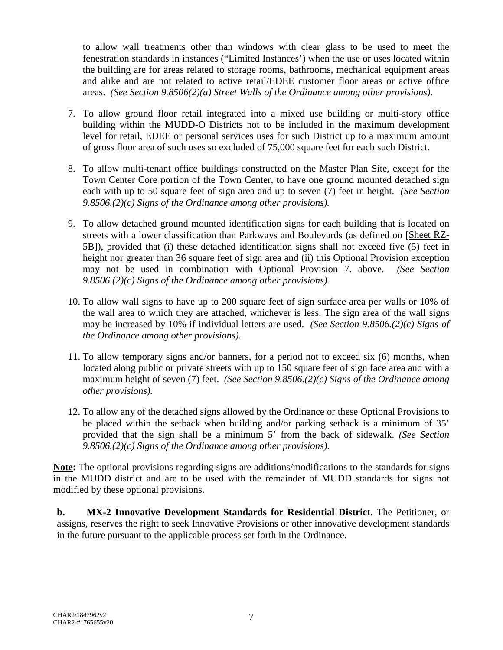to allow wall treatments other than windows with clear glass to be used to meet the fenestration standards in instances ("Limited Instances') when the use or uses located within the building are for areas related to storage rooms, bathrooms, mechanical equipment areas and alike and are not related to active retail/EDEE customer floor areas or active office areas. *(See Section 9.8506(2)(a) Street Walls of the Ordinance among other provisions).*

- 7. To allow ground floor retail integrated into a mixed use building or multi-story office building within the MUDD-O Districts not to be included in the maximum development level for retail, EDEE or personal services uses for such District up to a maximum amount of gross floor area of such uses so excluded of 75,000 square feet for each such District.
- 8. To allow multi-tenant office buildings constructed on the Master Plan Site, except for the Town Center Core portion of the Town Center, to have one ground mounted detached sign each with up to 50 square feet of sign area and up to seven (7) feet in height. *(See Section 9.8506.(2)(c) Signs of the Ordinance among other provisions).*
- 9. To allow detached ground mounted identification signs for each building that is located on streets with a lower classification than Parkways and Boulevards (as defined on [Sheet RZ-5B]), provided that (i) these detached identification signs shall not exceed five (5) feet in height nor greater than 36 square feet of sign area and (ii) this Optional Provision exception may not be used in combination with Optional Provision 7. above. *(See Section 9.8506.(2)(c) Signs of the Ordinance among other provisions).*
- 10. To allow wall signs to have up to 200 square feet of sign surface area per walls or 10% of the wall area to which they are attached, whichever is less. The sign area of the wall signs may be increased by 10% if individual letters are used. *(See Section 9.8506.(2)(c) Signs of the Ordinance among other provisions).*
- 11. To allow temporary signs and/or banners, for a period not to exceed six (6) months, when located along public or private streets with up to 150 square feet of sign face area and with a maximum height of seven (7) feet. *(See Section 9.8506.(2)(c) Signs of the Ordinance among other provisions).*
- 12. To allow any of the detached signs allowed by the Ordinance or these Optional Provisions to be placed within the setback when building and/or parking setback is a minimum of 35' provided that the sign shall be a minimum 5' from the back of sidewalk. *(See Section 9.8506.(2)(c) Signs of the Ordinance among other provisions)*.

**Note:** The optional provisions regarding signs are additions/modifications to the standards for signs in the MUDD district and are to be used with the remainder of MUDD standards for signs not modified by these optional provisions.

**b. MX-2 Innovative Development Standards for Residential District**. The Petitioner, or assigns, reserves the right to seek Innovative Provisions or other innovative development standards in the future pursuant to the applicable process set forth in the Ordinance.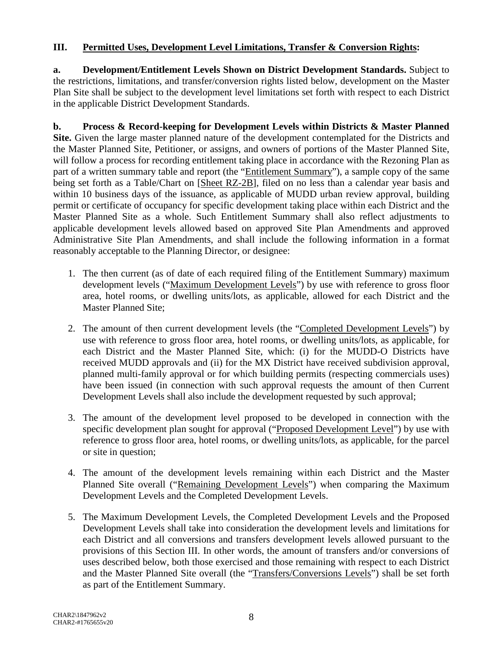## **III. Permitted Uses, Development Level Limitations, Transfer & Conversion Rights:**

**a. Development/Entitlement Levels Shown on District Development Standards.** Subject to the restrictions, limitations, and transfer/conversion rights listed below, development on the Master Plan Site shall be subject to the development level limitations set forth with respect to each District in the applicable District Development Standards.

**b. Process & Record-keeping for Development Levels within Districts & Master Planned Site.** Given the large master planned nature of the development contemplated for the Districts and the Master Planned Site, Petitioner, or assigns, and owners of portions of the Master Planned Site, will follow a process for recording entitlement taking place in accordance with the Rezoning Plan as part of a written summary table and report (the "Entitlement Summary"), a sample copy of the same being set forth as a Table/Chart on [Sheet RZ-2B], filed on no less than a calendar year basis and within 10 business days of the issuance, as applicable of MUDD urban review approval, building permit or certificate of occupancy for specific development taking place within each District and the Master Planned Site as a whole. Such Entitlement Summary shall also reflect adjustments to applicable development levels allowed based on approved Site Plan Amendments and approved Administrative Site Plan Amendments, and shall include the following information in a format reasonably acceptable to the Planning Director, or designee:

- 1. The then current (as of date of each required filing of the Entitlement Summary) maximum development levels ("Maximum Development Levels") by use with reference to gross floor area, hotel rooms, or dwelling units/lots, as applicable, allowed for each District and the Master Planned Site;
- 2. The amount of then current development levels (the "Completed Development Levels") by use with reference to gross floor area, hotel rooms, or dwelling units/lots, as applicable, for each District and the Master Planned Site, which: (i) for the MUDD-O Districts have received MUDD approvals and (ii) for the MX District have received subdivision approval, planned multi-family approval or for which building permits (respecting commercials uses) have been issued (in connection with such approval requests the amount of then Current Development Levels shall also include the development requested by such approval;
- 3. The amount of the development level proposed to be developed in connection with the specific development plan sought for approval ("Proposed Development Level") by use with reference to gross floor area, hotel rooms, or dwelling units/lots, as applicable, for the parcel or site in question;
- 4. The amount of the development levels remaining within each District and the Master Planned Site overall ("Remaining Development Levels") when comparing the Maximum Development Levels and the Completed Development Levels.
- 5. The Maximum Development Levels, the Completed Development Levels and the Proposed Development Levels shall take into consideration the development levels and limitations for each District and all conversions and transfers development levels allowed pursuant to the provisions of this Section III. In other words, the amount of transfers and/or conversions of uses described below, both those exercised and those remaining with respect to each District and the Master Planned Site overall (the "Transfers/Conversions Levels") shall be set forth as part of the Entitlement Summary.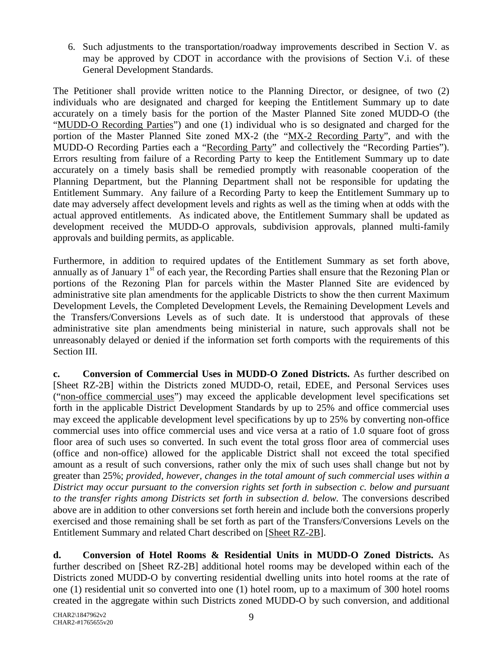6. Such adjustments to the transportation/roadway improvements described in Section V. as may be approved by CDOT in accordance with the provisions of Section V.i. of these General Development Standards.

The Petitioner shall provide written notice to the Planning Director, or designee, of two (2) individuals who are designated and charged for keeping the Entitlement Summary up to date accurately on a timely basis for the portion of the Master Planned Site zoned MUDD-O (the "MUDD-O Recording Parties") and one (1) individual who is so designated and charged for the portion of the Master Planned Site zoned MX-2 (the "MX-2 Recording Party", and with the MUDD-O Recording Parties each a "Recording Party" and collectively the "Recording Parties"). Errors resulting from failure of a Recording Party to keep the Entitlement Summary up to date accurately on a timely basis shall be remedied promptly with reasonable cooperation of the Planning Department, but the Planning Department shall not be responsible for updating the Entitlement Summary. Any failure of a Recording Party to keep the Entitlement Summary up to date may adversely affect development levels and rights as well as the timing when at odds with the actual approved entitlements. As indicated above, the Entitlement Summary shall be updated as development received the MUDD-O approvals, subdivision approvals, planned multi-family approvals and building permits, as applicable.

Furthermore, in addition to required updates of the Entitlement Summary as set forth above, annually as of January  $1<sup>st</sup>$  of each year, the Recording Parties shall ensure that the Rezoning Plan or portions of the Rezoning Plan for parcels within the Master Planned Site are evidenced by administrative site plan amendments for the applicable Districts to show the then current Maximum Development Levels, the Completed Development Levels, the Remaining Development Levels and the Transfers/Conversions Levels as of such date. It is understood that approvals of these administrative site plan amendments being ministerial in nature, such approvals shall not be unreasonably delayed or denied if the information set forth comports with the requirements of this Section III.

**c. Conversion of Commercial Uses in MUDD-O Zoned Districts.** As further described on [Sheet RZ-2B] within the Districts zoned MUDD-O, retail, EDEE, and Personal Services uses ("non-office commercial uses") may exceed the applicable development level specifications set forth in the applicable District Development Standards by up to 25% and office commercial uses may exceed the applicable development level specifications by up to 25% by converting non-office commercial uses into office commercial uses and vice versa at a ratio of 1.0 square foot of gross floor area of such uses so converted. In such event the total gross floor area of commercial uses (office and non-office) allowed for the applicable District shall not exceed the total specified amount as a result of such conversions, rather only the mix of such uses shall change but not by greater than 25%; *provided, however, changes in the total amount of such commercial uses within a District may occur pursuant to the conversion rights set forth in subsection c. below and pursuant to the transfer rights among Districts set forth in subsection d. below.* The conversions described above are in addition to other conversions set forth herein and include both the conversions properly exercised and those remaining shall be set forth as part of the Transfers/Conversions Levels on the Entitlement Summary and related Chart described on [Sheet RZ-2B].

**d. Conversion of Hotel Rooms & Residential Units in MUDD-O Zoned Districts.** As further described on [Sheet RZ-2B] additional hotel rooms may be developed within each of the Districts zoned MUDD-O by converting residential dwelling units into hotel rooms at the rate of one (1) residential unit so converted into one (1) hotel room, up to a maximum of 300 hotel rooms created in the aggregate within such Districts zoned MUDD-O by such conversion, and additional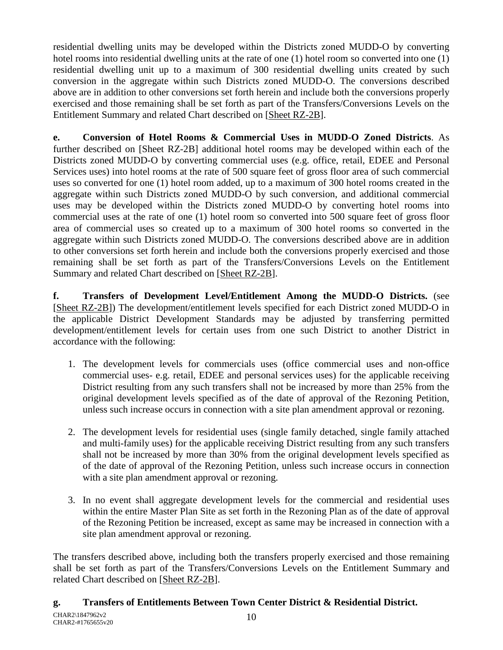residential dwelling units may be developed within the Districts zoned MUDD-O by converting hotel rooms into residential dwelling units at the rate of one (1) hotel room so converted into one (1) residential dwelling unit up to a maximum of 300 residential dwelling units created by such conversion in the aggregate within such Districts zoned MUDD-O. The conversions described above are in addition to other conversions set forth herein and include both the conversions properly exercised and those remaining shall be set forth as part of the Transfers/Conversions Levels on the Entitlement Summary and related Chart described on [Sheet RZ-2B].

**e. Conversion of Hotel Rooms & Commercial Uses in MUDD-O Zoned Districts**. As further described on [Sheet RZ-2B] additional hotel rooms may be developed within each of the Districts zoned MUDD-O by converting commercial uses (e.g. office, retail, EDEE and Personal Services uses) into hotel rooms at the rate of 500 square feet of gross floor area of such commercial uses so converted for one (1) hotel room added, up to a maximum of 300 hotel rooms created in the aggregate within such Districts zoned MUDD-O by such conversion, and additional commercial uses may be developed within the Districts zoned MUDD-O by converting hotel rooms into commercial uses at the rate of one (1) hotel room so converted into 500 square feet of gross floor area of commercial uses so created up to a maximum of 300 hotel rooms so converted in the aggregate within such Districts zoned MUDD-O. The conversions described above are in addition to other conversions set forth herein and include both the conversions properly exercised and those remaining shall be set forth as part of the Transfers/Conversions Levels on the Entitlement Summary and related Chart described on [Sheet RZ-2B].

**f. Transfers of Development Level/Entitlement Among the MUDD-O Districts.** (see [Sheet RZ-2B]) The development/entitlement levels specified for each District zoned MUDD-O in the applicable District Development Standards may be adjusted by transferring permitted development/entitlement levels for certain uses from one such District to another District in accordance with the following:

- 1. The development levels for commercials uses (office commercial uses and non-office commercial uses- e.g. retail, EDEE and personal services uses) for the applicable receiving District resulting from any such transfers shall not be increased by more than 25% from the original development levels specified as of the date of approval of the Rezoning Petition, unless such increase occurs in connection with a site plan amendment approval or rezoning.
- 2. The development levels for residential uses (single family detached, single family attached and multi-family uses) for the applicable receiving District resulting from any such transfers shall not be increased by more than 30% from the original development levels specified as of the date of approval of the Rezoning Petition, unless such increase occurs in connection with a site plan amendment approval or rezoning.
- 3. In no event shall aggregate development levels for the commercial and residential uses within the entire Master Plan Site as set forth in the Rezoning Plan as of the date of approval of the Rezoning Petition be increased, except as same may be increased in connection with a site plan amendment approval or rezoning.

The transfers described above, including both the transfers properly exercised and those remaining shall be set forth as part of the Transfers/Conversions Levels on the Entitlement Summary and related Chart described on [Sheet RZ-2B].

# **g. Transfers of Entitlements Between Town Center District & Residential District.**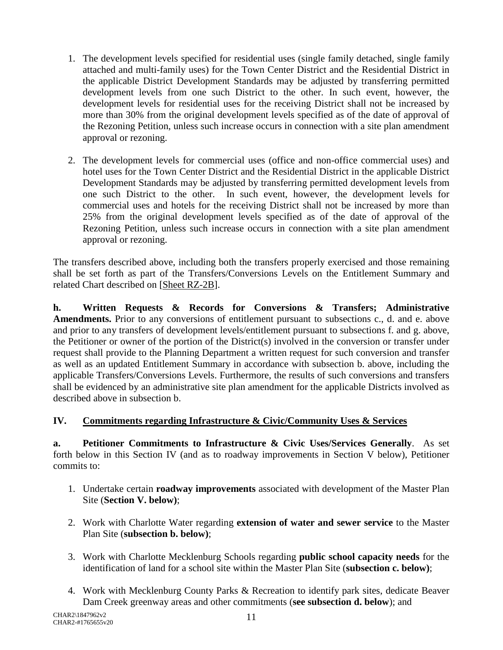- 1. The development levels specified for residential uses (single family detached, single family attached and multi-family uses) for the Town Center District and the Residential District in the applicable District Development Standards may be adjusted by transferring permitted development levels from one such District to the other. In such event, however, the development levels for residential uses for the receiving District shall not be increased by more than 30% from the original development levels specified as of the date of approval of the Rezoning Petition, unless such increase occurs in connection with a site plan amendment approval or rezoning.
- 2. The development levels for commercial uses (office and non-office commercial uses) and hotel uses for the Town Center District and the Residential District in the applicable District Development Standards may be adjusted by transferring permitted development levels from one such District to the other. In such event, however, the development levels for commercial uses and hotels for the receiving District shall not be increased by more than 25% from the original development levels specified as of the date of approval of the Rezoning Petition, unless such increase occurs in connection with a site plan amendment approval or rezoning.

The transfers described above, including both the transfers properly exercised and those remaining shall be set forth as part of the Transfers/Conversions Levels on the Entitlement Summary and related Chart described on [Sheet RZ-2B].

**h. Written Requests & Records for Conversions & Transfers; Administrative Amendments.** Prior to any conversions of entitlement pursuant to subsections c., d. and e. above and prior to any transfers of development levels/entitlement pursuant to subsections f. and g. above, the Petitioner or owner of the portion of the District(s) involved in the conversion or transfer under request shall provide to the Planning Department a written request for such conversion and transfer as well as an updated Entitlement Summary in accordance with subsection b. above, including the applicable Transfers/Conversions Levels. Furthermore, the results of such conversions and transfers shall be evidenced by an administrative site plan amendment for the applicable Districts involved as described above in subsection b.

# **IV. Commitments regarding Infrastructure & Civic/Community Uses & Services**

**a. Petitioner Commitments to Infrastructure & Civic Uses/Services Generally**. As set forth below in this Section IV (and as to roadway improvements in Section V below), Petitioner commits to:

- 1. Undertake certain **roadway improvements** associated with development of the Master Plan Site (**Section V. below)**;
- 2. Work with Charlotte Water regarding **extension of water and sewer service** to the Master Plan Site (**subsection b. below)**;
- 3. Work with Charlotte Mecklenburg Schools regarding **public school capacity needs** for the identification of land for a school site within the Master Plan Site (**subsection c. below)**;
- 4. Work with Mecklenburg County Parks & Recreation to identify park sites, dedicate Beaver Dam Creek greenway areas and other commitments (**see subsection d. below**); and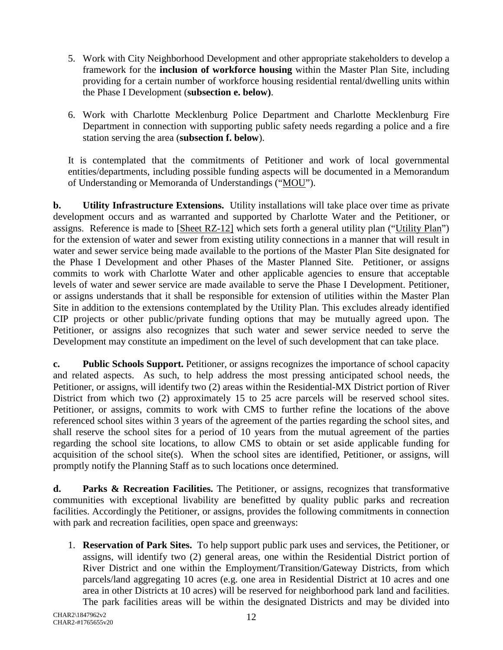- 5. Work with City Neighborhood Development and other appropriate stakeholders to develop a framework for the **inclusion of workforce housing** within the Master Plan Site, including providing for a certain number of workforce housing residential rental/dwelling units within the Phase I Development (**subsection e. below)**.
- 6. Work with Charlotte Mecklenburg Police Department and Charlotte Mecklenburg Fire Department in connection with supporting public safety needs regarding a police and a fire station serving the area (**subsection f. below**).

It is contemplated that the commitments of Petitioner and work of local governmental entities/departments, including possible funding aspects will be documented in a Memorandum of Understanding or Memoranda of Understandings ("MOU").

**b. Utility Infrastructure Extensions.** Utility installations will take place over time as private development occurs and as warranted and supported by Charlotte Water and the Petitioner, or assigns. Reference is made to [Sheet RZ-12] which sets forth a general utility plan ("Utility Plan") for the extension of water and sewer from existing utility connections in a manner that will result in water and sewer service being made available to the portions of the Master Plan Site designated for the Phase I Development and other Phases of the Master Planned Site. Petitioner, or assigns commits to work with Charlotte Water and other applicable agencies to ensure that acceptable levels of water and sewer service are made available to serve the Phase I Development. Petitioner, or assigns understands that it shall be responsible for extension of utilities within the Master Plan Site in addition to the extensions contemplated by the Utility Plan. This excludes already identified CIP projects or other public/private funding options that may be mutually agreed upon. The Petitioner, or assigns also recognizes that such water and sewer service needed to serve the Development may constitute an impediment on the level of such development that can take place.

**c. Public Schools Support.** Petitioner, or assigns recognizes the importance of school capacity and related aspects. As such, to help address the most pressing anticipated school needs, the Petitioner, or assigns, will identify two (2) areas within the Residential-MX District portion of River District from which two (2) approximately 15 to 25 acre parcels will be reserved school sites. Petitioner, or assigns, commits to work with CMS to further refine the locations of the above referenced school sites within 3 years of the agreement of the parties regarding the school sites, and shall reserve the school sites for a period of 10 years from the mutual agreement of the parties regarding the school site locations, to allow CMS to obtain or set aside applicable funding for acquisition of the school site(s). When the school sites are identified, Petitioner, or assigns, will promptly notify the Planning Staff as to such locations once determined.

**d. Parks & Recreation Facilities.** The Petitioner, or assigns, recognizes that transformative communities with exceptional livability are benefitted by quality public parks and recreation facilities. Accordingly the Petitioner, or assigns, provides the following commitments in connection with park and recreation facilities, open space and greenways:

1. **Reservation of Park Sites.** To help support public park uses and services, the Petitioner, or assigns, will identify two (2) general areas, one within the Residential District portion of River District and one within the Employment/Transition/Gateway Districts, from which parcels/land aggregating 10 acres (e.g. one area in Residential District at 10 acres and one area in other Districts at 10 acres) will be reserved for neighborhood park land and facilities. The park facilities areas will be within the designated Districts and may be divided into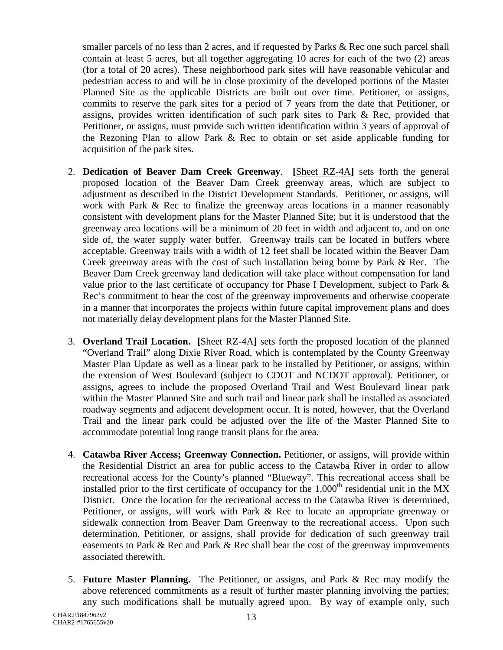smaller parcels of no less than 2 acres, and if requested by Parks & Rec one such parcel shall contain at least 5 acres, but all together aggregating 10 acres for each of the two (2) areas (for a total of 20 acres). These neighborhood park sites will have reasonable vehicular and pedestrian access to and will be in close proximity of the developed portions of the Master Planned Site as the applicable Districts are built out over time. Petitioner, or assigns, commits to reserve the park sites for a period of 7 years from the date that Petitioner, or assigns, provides written identification of such park sites to Park & Rec, provided that Petitioner, or assigns, must provide such written identification within 3 years of approval of the Rezoning Plan to allow Park & Rec to obtain or set aside applicable funding for acquisition of the park sites.

- 2. **Dedication of Beaver Dam Creek Greenway**. **[**Sheet RZ-4A**]** sets forth the general proposed location of the Beaver Dam Creek greenway areas, which are subject to adjustment as described in the District Development Standards. Petitioner, or assigns, will work with Park & Rec to finalize the greenway areas locations in a manner reasonably consistent with development plans for the Master Planned Site; but it is understood that the greenway area locations will be a minimum of 20 feet in width and adjacent to, and on one side of, the water supply water buffer. Greenway trails can be located in buffers where acceptable. Greenway trails with a width of 12 feet shall be located within the Beaver Dam Creek greenway areas with the cost of such installation being borne by Park & Rec. The Beaver Dam Creek greenway land dedication will take place without compensation for land value prior to the last certificate of occupancy for Phase I Development, subject to Park & Rec's commitment to bear the cost of the greenway improvements and otherwise cooperate in a manner that incorporates the projects within future capital improvement plans and does not materially delay development plans for the Master Planned Site.
- 3. **Overland Trail Location. [**Sheet RZ-4A**]** sets forth the proposed location of the planned "Overland Trail" along Dixie River Road, which is contemplated by the County Greenway Master Plan Update as well as a linear park to be installed by Petitioner, or assigns, within the extension of West Boulevard (subject to CDOT and NCDOT approval). Petitioner, or assigns, agrees to include the proposed Overland Trail and West Boulevard linear park within the Master Planned Site and such trail and linear park shall be installed as associated roadway segments and adjacent development occur. It is noted, however, that the Overland Trail and the linear park could be adjusted over the life of the Master Planned Site to accommodate potential long range transit plans for the area.
- 4. **Catawba River Access; Greenway Connection.** Petitioner, or assigns, will provide within the Residential District an area for public access to the Catawba River in order to allow recreational access for the County's planned "Blueway". This recreational access shall be installed prior to the first certificate of occupancy for the  $1,000<sup>th</sup>$  residential unit in the MX District. Once the location for the recreational access to the Catawba River is determined, Petitioner, or assigns, will work with Park & Rec to locate an appropriate greenway or sidewalk connection from Beaver Dam Greenway to the recreational access. Upon such determination, Petitioner, or assigns, shall provide for dedication of such greenway trail easements to Park & Rec and Park & Rec shall bear the cost of the greenway improvements associated therewith.
- 5. **Future Master Planning.** The Petitioner, or assigns, and Park & Rec may modify the above referenced commitments as a result of further master planning involving the parties; any such modifications shall be mutually agreed upon. By way of example only, such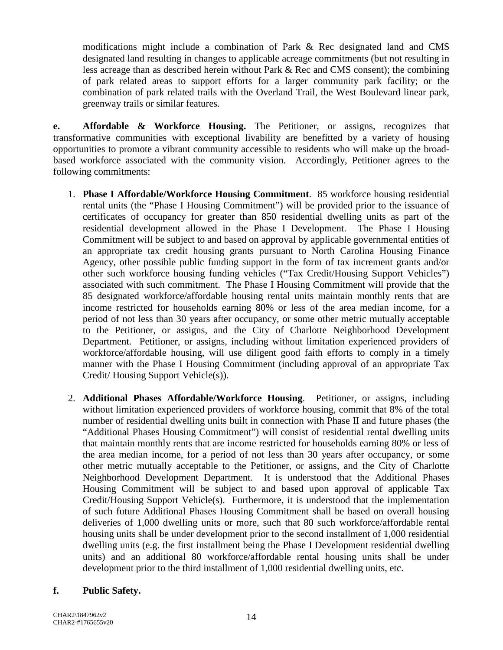modifications might include a combination of Park & Rec designated land and CMS designated land resulting in changes to applicable acreage commitments (but not resulting in less acreage than as described herein without Park & Rec and CMS consent); the combining of park related areas to support efforts for a larger community park facility; or the combination of park related trails with the Overland Trail, the West Boulevard linear park, greenway trails or similar features.

**e. Affordable & Workforce Housing.** The Petitioner, or assigns, recognizes that transformative communities with exceptional livability are benefitted by a variety of housing opportunities to promote a vibrant community accessible to residents who will make up the broadbased workforce associated with the community vision. Accordingly, Petitioner agrees to the following commitments:

- 1. **Phase I Affordable/Workforce Housing Commitment**. 85 workforce housing residential rental units (the "Phase I Housing Commitment") will be provided prior to the issuance of certificates of occupancy for greater than 850 residential dwelling units as part of the residential development allowed in the Phase I Development. The Phase I Housing Commitment will be subject to and based on approval by applicable governmental entities of an appropriate tax credit housing grants pursuant to North Carolina Housing Finance Agency, other possible public funding support in the form of tax increment grants and/or other such workforce housing funding vehicles ("Tax Credit/Housing Support Vehicles") associated with such commitment. The Phase I Housing Commitment will provide that the 85 designated workforce/affordable housing rental units maintain monthly rents that are income restricted for households earning 80% or less of the area median income, for a period of not less than 30 years after occupancy, or some other metric mutually acceptable to the Petitioner, or assigns, and the City of Charlotte Neighborhood Development Department. Petitioner, or assigns, including without limitation experienced providers of workforce/affordable housing, will use diligent good faith efforts to comply in a timely manner with the Phase I Housing Commitment (including approval of an appropriate Tax Credit/ Housing Support Vehicle(s)).
- 2. **Additional Phases Affordable/Workforce Housing**. Petitioner, or assigns, including without limitation experienced providers of workforce housing, commit that 8% of the total number of residential dwelling units built in connection with Phase II and future phases (the "Additional Phases Housing Commitment") will consist of residential rental dwelling units that maintain monthly rents that are income restricted for households earning 80% or less of the area median income, for a period of not less than 30 years after occupancy, or some other metric mutually acceptable to the Petitioner, or assigns, and the City of Charlotte Neighborhood Development Department. It is understood that the Additional Phases Housing Commitment will be subject to and based upon approval of applicable Tax Credit/Housing Support Vehicle(s). Furthermore, it is understood that the implementation of such future Additional Phases Housing Commitment shall be based on overall housing deliveries of 1,000 dwelling units or more, such that 80 such workforce/affordable rental housing units shall be under development prior to the second installment of 1,000 residential dwelling units (e.g. the first installment being the Phase I Development residential dwelling units) and an additional 80 workforce/affordable rental housing units shall be under development prior to the third installment of 1,000 residential dwelling units, etc.

#### **f. Public Safety.**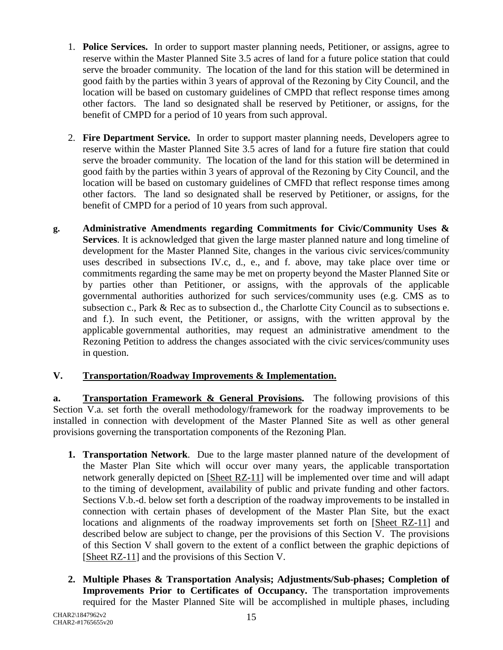- 1. **Police Services.** In order to support master planning needs, Petitioner, or assigns, agree to reserve within the Master Planned Site 3.5 acres of land for a future police station that could serve the broader community. The location of the land for this station will be determined in good faith by the parties within 3 years of approval of the Rezoning by City Council, and the location will be based on customary guidelines of CMPD that reflect response times among other factors. The land so designated shall be reserved by Petitioner, or assigns, for the benefit of CMPD for a period of 10 years from such approval.
- 2. **Fire Department Service.** In order to support master planning needs, Developers agree to reserve within the Master Planned Site 3.5 acres of land for a future fire station that could serve the broader community. The location of the land for this station will be determined in good faith by the parties within 3 years of approval of the Rezoning by City Council, and the location will be based on customary guidelines of CMFD that reflect response times among other factors. The land so designated shall be reserved by Petitioner, or assigns, for the benefit of CMPD for a period of 10 years from such approval.
- **g. Administrative Amendments regarding Commitments for Civic/Community Uses & Services**. It is acknowledged that given the large master planned nature and long timeline of development for the Master Planned Site, changes in the various civic services/community uses described in subsections IV.c, d., e., and f. above, may take place over time or commitments regarding the same may be met on property beyond the Master Planned Site or by parties other than Petitioner, or assigns, with the approvals of the applicable governmental authorities authorized for such services/community uses (e.g. CMS as to subsection c., Park & Rec as to subsection d., the Charlotte City Council as to subsections e. and f.). In such event, the Petitioner, or assigns, with the written approval by the applicable governmental authorities, may request an administrative amendment to the Rezoning Petition to address the changes associated with the civic services/community uses in question.

# **V. Transportation/Roadway Improvements & Implementation.**

**a. Transportation Framework & General Provisions.** The following provisions of this Section V.a. set forth the overall methodology/framework for the roadway improvements to be installed in connection with development of the Master Planned Site as well as other general provisions governing the transportation components of the Rezoning Plan.

- **1. Transportation Network**. Due to the large master planned nature of the development of the Master Plan Site which will occur over many years, the applicable transportation network generally depicted on [Sheet RZ-11] will be implemented over time and will adapt to the timing of development, availability of public and private funding and other factors. Sections V.b.-d. below set forth a description of the roadway improvements to be installed in connection with certain phases of development of the Master Plan Site, but the exact locations and alignments of the roadway improvements set forth on [Sheet RZ-11] and described below are subject to change, per the provisions of this Section V. The provisions of this Section V shall govern to the extent of a conflict between the graphic depictions of [Sheet RZ-11] and the provisions of this Section V.
- **2. Multiple Phases & Transportation Analysis; Adjustments/Sub-phases; Completion of Improvements Prior to Certificates of Occupancy.** The transportation improvements required for the Master Planned Site will be accomplished in multiple phases, including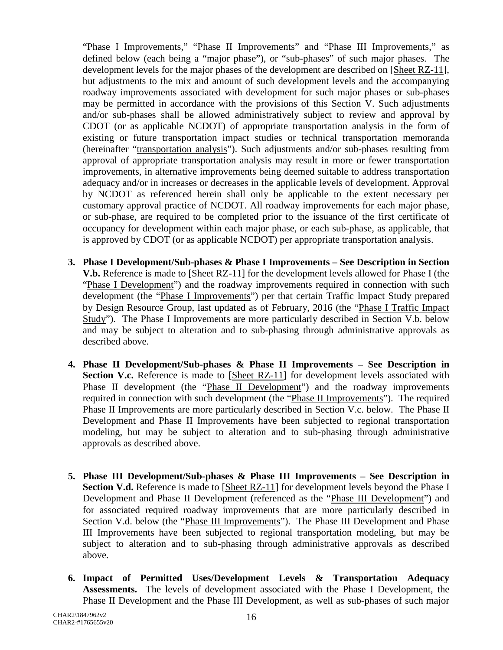"Phase I Improvements," "Phase II Improvements" and "Phase III Improvements," as defined below (each being a "major phase"), or "sub-phases" of such major phases. The development levels for the major phases of the development are described on [Sheet RZ-11], but adjustments to the mix and amount of such development levels and the accompanying roadway improvements associated with development for such major phases or sub-phases may be permitted in accordance with the provisions of this Section V. Such adjustments and/or sub-phases shall be allowed administratively subject to review and approval by CDOT (or as applicable NCDOT) of appropriate transportation analysis in the form of existing or future transportation impact studies or technical transportation memoranda (hereinafter "transportation analysis"). Such adjustments and/or sub-phases resulting from approval of appropriate transportation analysis may result in more or fewer transportation improvements, in alternative improvements being deemed suitable to address transportation adequacy and/or in increases or decreases in the applicable levels of development. Approval by NCDOT as referenced herein shall only be applicable to the extent necessary per customary approval practice of NCDOT. All roadway improvements for each major phase, or sub-phase, are required to be completed prior to the issuance of the first certificate of occupancy for development within each major phase, or each sub-phase, as applicable, that is approved by CDOT (or as applicable NCDOT) per appropriate transportation analysis.

- **3. Phase I Development/Sub-phases & Phase I Improvements – See Description in Section V.b.** Reference is made to [Sheet RZ-11] for the development levels allowed for Phase I (the "Phase I Development") and the roadway improvements required in connection with such development (the "Phase I Improvements") per that certain Traffic Impact Study prepared by Design Resource Group, last updated as of February, 2016 (the "Phase I Traffic Impact Study"). The Phase I Improvements are more particularly described in Section V.b. below and may be subject to alteration and to sub-phasing through administrative approvals as described above.
- **4. Phase II Development/Sub-phases & Phase II Improvements – See Description in Section V.c.** Reference is made to [Sheet RZ-11] for development levels associated with Phase II development (the "Phase II Development") and the roadway improvements required in connection with such development (the "Phase II Improvements"). The required Phase II Improvements are more particularly described in Section V.c. below. The Phase II Development and Phase II Improvements have been subjected to regional transportation modeling, but may be subject to alteration and to sub-phasing through administrative approvals as described above.
- **5. Phase III Development/Sub-phases & Phase III Improvements – See Description in Section V.d.** Reference is made to [Sheet RZ-11] for development levels beyond the Phase I Development and Phase II Development (referenced as the "Phase III Development") and for associated required roadway improvements that are more particularly described in Section V.d. below (the "Phase III Improvements"). The Phase III Development and Phase III Improvements have been subjected to regional transportation modeling, but may be subject to alteration and to sub-phasing through administrative approvals as described above.
- **6. Impact of Permitted Uses/Development Levels & Transportation Adequacy Assessments.** The levels of development associated with the Phase I Development, the Phase II Development and the Phase III Development, as well as sub-phases of such major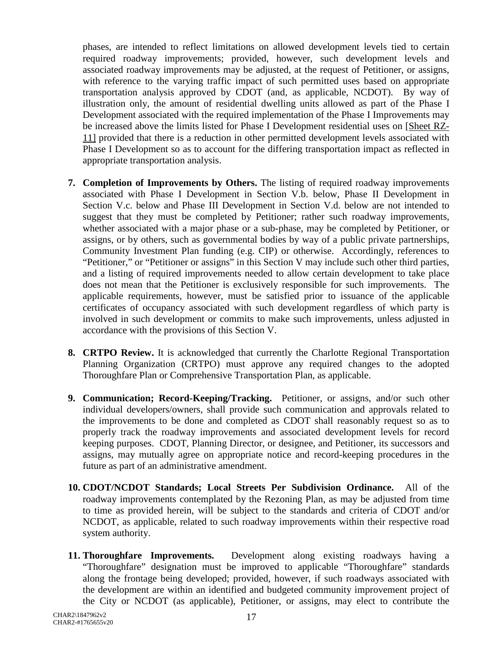phases, are intended to reflect limitations on allowed development levels tied to certain required roadway improvements; provided, however, such development levels and associated roadway improvements may be adjusted, at the request of Petitioner, or assigns, with reference to the varying traffic impact of such permitted uses based on appropriate transportation analysis approved by CDOT (and, as applicable, NCDOT). By way of illustration only, the amount of residential dwelling units allowed as part of the Phase I Development associated with the required implementation of the Phase I Improvements may be increased above the limits listed for Phase I Development residential uses on [Sheet RZ-11] provided that there is a reduction in other permitted development levels associated with Phase I Development so as to account for the differing transportation impact as reflected in appropriate transportation analysis.

- **7. Completion of Improvements by Others.** The listing of required roadway improvements associated with Phase I Development in Section V.b. below, Phase II Development in Section V.c. below and Phase III Development in Section V.d. below are not intended to suggest that they must be completed by Petitioner; rather such roadway improvements, whether associated with a major phase or a sub-phase, may be completed by Petitioner, or assigns, or by others, such as governmental bodies by way of a public private partnerships, Community Investment Plan funding (e.g. CIP) or otherwise. Accordingly, references to "Petitioner," or "Petitioner or assigns" in this Section V may include such other third parties, and a listing of required improvements needed to allow certain development to take place does not mean that the Petitioner is exclusively responsible for such improvements. The applicable requirements, however, must be satisfied prior to issuance of the applicable certificates of occupancy associated with such development regardless of which party is involved in such development or commits to make such improvements, unless adjusted in accordance with the provisions of this Section V.
- **8. CRTPO Review.** It is acknowledged that currently the Charlotte Regional Transportation Planning Organization (CRTPO) must approve any required changes to the adopted Thoroughfare Plan or Comprehensive Transportation Plan, as applicable.
- **9. Communication; Record-Keeping/Tracking.** Petitioner, or assigns, and/or such other individual developers/owners, shall provide such communication and approvals related to the improvements to be done and completed as CDOT shall reasonably request so as to properly track the roadway improvements and associated development levels for record keeping purposes. CDOT, Planning Director, or designee, and Petitioner, its successors and assigns, may mutually agree on appropriate notice and record-keeping procedures in the future as part of an administrative amendment.
- **10. CDOT/NCDOT Standards; Local Streets Per Subdivision Ordinance.** All of the roadway improvements contemplated by the Rezoning Plan, as may be adjusted from time to time as provided herein, will be subject to the standards and criteria of CDOT and/or NCDOT, as applicable, related to such roadway improvements within their respective road system authority.
- **11. Thoroughfare Improvements.** Development along existing roadways having a "Thoroughfare" designation must be improved to applicable "Thoroughfare" standards along the frontage being developed; provided, however, if such roadways associated with the development are within an identified and budgeted community improvement project of the City or NCDOT (as applicable), Petitioner, or assigns, may elect to contribute the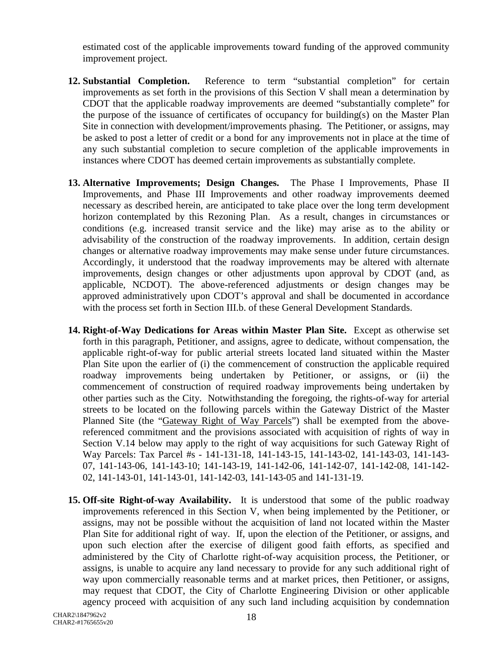estimated cost of the applicable improvements toward funding of the approved community improvement project.

- **12. Substantial Completion.** Reference to term "substantial completion" for certain improvements as set forth in the provisions of this Section V shall mean a determination by CDOT that the applicable roadway improvements are deemed "substantially complete" for the purpose of the issuance of certificates of occupancy for building(s) on the Master Plan Site in connection with development/improvements phasing. The Petitioner, or assigns, may be asked to post a letter of credit or a bond for any improvements not in place at the time of any such substantial completion to secure completion of the applicable improvements in instances where CDOT has deemed certain improvements as substantially complete.
- **13. Alternative Improvements; Design Changes.** The Phase I Improvements, Phase II Improvements, and Phase III Improvements and other roadway improvements deemed necessary as described herein, are anticipated to take place over the long term development horizon contemplated by this Rezoning Plan. As a result, changes in circumstances or conditions (e.g. increased transit service and the like) may arise as to the ability or advisability of the construction of the roadway improvements. In addition, certain design changes or alternative roadway improvements may make sense under future circumstances. Accordingly, it understood that the roadway improvements may be altered with alternate improvements, design changes or other adjustments upon approval by CDOT (and, as applicable, NCDOT). The above-referenced adjustments or design changes may be approved administratively upon CDOT's approval and shall be documented in accordance with the process set forth in Section III.b. of these General Development Standards.
- **14. Right**-**of-Way Dedications for Areas within Master Plan Site.** Except as otherwise set forth in this paragraph, Petitioner, and assigns, agree to dedicate, without compensation, the applicable right-of-way for public arterial streets located land situated within the Master Plan Site upon the earlier of (i) the commencement of construction the applicable required roadway improvements being undertaken by Petitioner, or assigns, or (ii) the commencement of construction of required roadway improvements being undertaken by other parties such as the City. Notwithstanding the foregoing, the rights-of-way for arterial streets to be located on the following parcels within the Gateway District of the Master Planned Site (the "Gateway Right of Way Parcels") shall be exempted from the abovereferenced commitment and the provisions associated with acquisition of rights of way in Section V.14 below may apply to the right of way acquisitions for such Gateway Right of Way Parcels: Tax Parcel #s - 141-131-18, 141-143-15, 141-143-02, 141-143-03, 141-143- 07, 141-143-06, 141-143-10; 141-143-19, 141-142-06, 141-142-07, 141-142-08, 141-142- 02, 141-143-01, 141-143-01, 141-142-03, 141-143-05 and 141-131-19.
- **15. Off-site Right-of-way Availability.** It is understood that some of the public roadway improvements referenced in this Section V, when being implemented by the Petitioner, or assigns, may not be possible without the acquisition of land not located within the Master Plan Site for additional right of way. If, upon the election of the Petitioner, or assigns, and upon such election after the exercise of diligent good faith efforts, as specified and administered by the City of Charlotte right-of-way acquisition process, the Petitioner, or assigns, is unable to acquire any land necessary to provide for any such additional right of way upon commercially reasonable terms and at market prices, then Petitioner, or assigns, may request that CDOT, the City of Charlotte Engineering Division or other applicable agency proceed with acquisition of any such land including acquisition by condemnation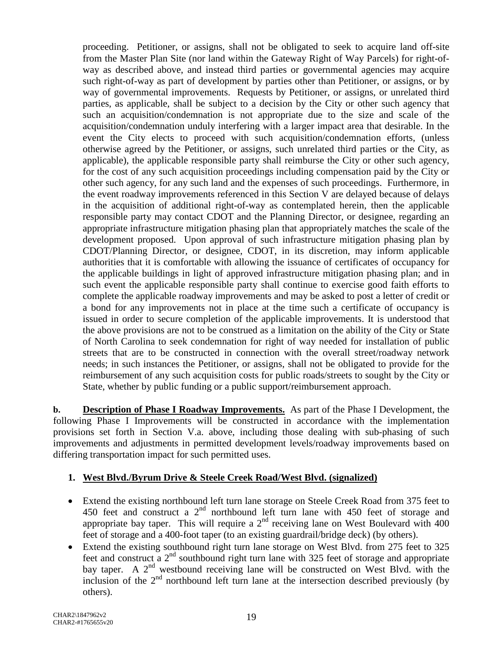proceeding. Petitioner, or assigns, shall not be obligated to seek to acquire land off-site from the Master Plan Site (nor land within the Gateway Right of Way Parcels) for right-ofway as described above, and instead third parties or governmental agencies may acquire such right-of-way as part of development by parties other than Petitioner, or assigns, or by way of governmental improvements. Requests by Petitioner, or assigns, or unrelated third parties, as applicable, shall be subject to a decision by the City or other such agency that such an acquisition/condemnation is not appropriate due to the size and scale of the acquisition/condemnation unduly interfering with a larger impact area that desirable. In the event the City elects to proceed with such acquisition/condemnation efforts, (unless otherwise agreed by the Petitioner, or assigns, such unrelated third parties or the City, as applicable), the applicable responsible party shall reimburse the City or other such agency, for the cost of any such acquisition proceedings including compensation paid by the City or other such agency, for any such land and the expenses of such proceedings. Furthermore, in the event roadway improvements referenced in this Section V are delayed because of delays in the acquisition of additional right-of-way as contemplated herein, then the applicable responsible party may contact CDOT and the Planning Director, or designee, regarding an appropriate infrastructure mitigation phasing plan that appropriately matches the scale of the development proposed. Upon approval of such infrastructure mitigation phasing plan by CDOT/Planning Director, or designee, CDOT, in its discretion, may inform applicable authorities that it is comfortable with allowing the issuance of certificates of occupancy for the applicable buildings in light of approved infrastructure mitigation phasing plan; and in such event the applicable responsible party shall continue to exercise good faith efforts to complete the applicable roadway improvements and may be asked to post a letter of credit or a bond for any improvements not in place at the time such a certificate of occupancy is issued in order to secure completion of the applicable improvements. It is understood that the above provisions are not to be construed as a limitation on the ability of the City or State of North Carolina to seek condemnation for right of way needed for installation of public streets that are to be constructed in connection with the overall street/roadway network needs; in such instances the Petitioner, or assigns, shall not be obligated to provide for the reimbursement of any such acquisition costs for public roads/streets to sought by the City or State, whether by public funding or a public support/reimbursement approach.

**b. Description of Phase I Roadway Improvements.** As part of the Phase I Development, the following Phase I Improvements will be constructed in accordance with the implementation provisions set forth in Section V.a. above, including those dealing with sub-phasing of such improvements and adjustments in permitted development levels/roadway improvements based on differing transportation impact for such permitted uses.

# **1. West Blvd./Byrum Drive & Steele Creek Road/West Blvd. (signalized)**

- Extend the existing northbound left turn lane storage on Steele Creek Road from 375 feet to 450 feet and construct a  $2<sup>nd</sup>$  northbound left turn lane with 450 feet of storage and appropriate bay taper. This will require a  $2<sup>nd</sup>$  receiving lane on West Boulevard with 400 feet of storage and a 400-foot taper (to an existing guardrail/bridge deck) (by others).
- Extend the existing southbound right turn lane storage on West Blvd. from 275 feet to 325 feet and construct a 2nd southbound right turn lane with 325 feet of storage and appropriate bay taper. A  $2<sup>nd</sup>$  westbound receiving lane will be constructed on West Blvd. with the inclusion of the  $2<sup>nd</sup>$  northbound left turn lane at the intersection described previously (by others).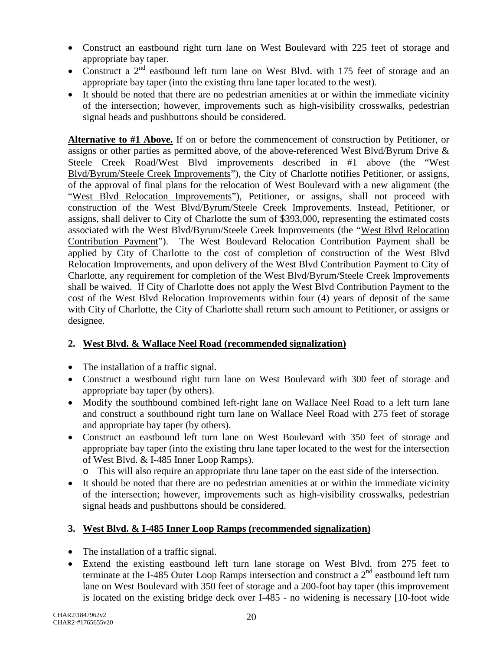- Construct an eastbound right turn lane on West Boulevard with 225 feet of storage and appropriate bay taper.
- Construct a  $2<sup>nd</sup>$  eastbound left turn lane on West Blvd. with 175 feet of storage and an appropriate bay taper (into the existing thru lane taper located to the west).
- It should be noted that there are no pedestrian amenities at or within the immediate vicinity of the intersection; however, improvements such as high-visibility crosswalks, pedestrian signal heads and pushbuttons should be considered.

**Alternative to #1 Above.** If on or before the commencement of construction by Petitioner, or assigns or other parties as permitted above, of the above-referenced West Blvd/Byrum Drive & Steele Creek Road/West Blvd improvements described in #1 above (the "West Blvd/Byrum/Steele Creek Improvements"), the City of Charlotte notifies Petitioner, or assigns, of the approval of final plans for the relocation of West Boulevard with a new alignment (the "West Blvd Relocation Improvements"), Petitioner, or assigns, shall not proceed with construction of the West Blvd/Byrum/Steele Creek Improvements. Instead, Petitioner, or assigns, shall deliver to City of Charlotte the sum of \$393,000, representing the estimated costs associated with the West Blvd/Byrum/Steele Creek Improvements (the "West Blvd Relocation Contribution Payment"). The West Boulevard Relocation Contribution Payment shall be applied by City of Charlotte to the cost of completion of construction of the West Blvd Relocation Improvements, and upon delivery of the West Blvd Contribution Payment to City of Charlotte, any requirement for completion of the West Blvd/Byrum/Steele Creek Improvements shall be waived. If City of Charlotte does not apply the West Blvd Contribution Payment to the cost of the West Blvd Relocation Improvements within four (4) years of deposit of the same with City of Charlotte, the City of Charlotte shall return such amount to Petitioner, or assigns or designee.

# **2. West Blvd. & Wallace Neel Road (recommended signalization)**

- The installation of a traffic signal.
- Construct a westbound right turn lane on West Boulevard with 300 feet of storage and appropriate bay taper (by others).
- Modify the southbound combined left-right lane on Wallace Neel Road to a left turn lane and construct a southbound right turn lane on Wallace Neel Road with 275 feet of storage and appropriate bay taper (by others).
- Construct an eastbound left turn lane on West Boulevard with 350 feet of storage and appropriate bay taper (into the existing thru lane taper located to the west for the intersection of West Blvd. & I-485 Inner Loop Ramps).
	- o This will also require an appropriate thru lane taper on the east side of the intersection.
- It should be noted that there are no pedestrian amenities at or within the immediate vicinity of the intersection; however, improvements such as high-visibility crosswalks, pedestrian signal heads and pushbuttons should be considered.

# **3. West Blvd. & I-485 Inner Loop Ramps (recommended signalization)**

- The installation of a traffic signal.
- Extend the existing eastbound left turn lane storage on West Blvd. from 275 feet to terminate at the I-485 Outer Loop Ramps intersection and construct a  $2<sup>nd</sup>$  eastbound left turn lane on West Boulevard with 350 feet of storage and a 200-foot bay taper (this improvement is located on the existing bridge deck over I-485 - no widening is necessary [10-foot wide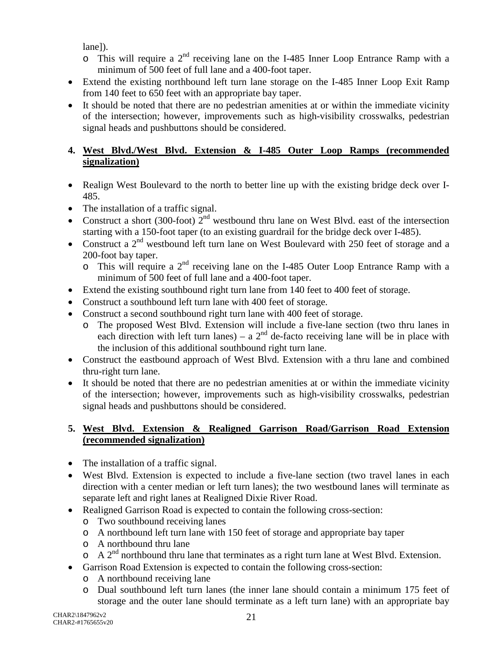lane]).

- $\circ$  This will require a 2<sup>nd</sup> receiving lane on the I-485 Inner Loop Entrance Ramp with a minimum of 500 feet of full lane and a 400-foot taper.
- Extend the existing northbound left turn lane storage on the I-485 Inner Loop Exit Ramp from 140 feet to 650 feet with an appropriate bay taper.
- It should be noted that there are no pedestrian amenities at or within the immediate vicinity of the intersection; however, improvements such as high-visibility crosswalks, pedestrian signal heads and pushbuttons should be considered.

# **4. West Blvd./West Blvd. Extension & I-485 Outer Loop Ramps (recommended signalization)**

- Realign West Boulevard to the north to better line up with the existing bridge deck over I-485.
- The installation of a traffic signal.
- Construct a short (300-foot)  $2<sup>nd</sup>$  westbound thru lane on West Blvd. east of the intersection starting with a 150-foot taper (to an existing guardrail for the bridge deck over I-485).
- Construct a  $2<sup>nd</sup>$  westbound left turn lane on West Boulevard with 250 feet of storage and a 200-foot bay taper.
	- $\circ$  This will require a 2<sup>nd</sup> receiving lane on the I-485 Outer Loop Entrance Ramp with a minimum of 500 feet of full lane and a 400-foot taper.
- Extend the existing southbound right turn lane from 140 feet to 400 feet of storage.
- Construct a southbound left turn lane with 400 feet of storage.
- Construct a second southbound right turn lane with 400 feet of storage.
	- o The proposed West Blvd. Extension will include a five-lane section (two thru lanes in each direction with left turn lanes) – a  $2<sup>nd</sup>$  de-facto receiving lane will be in place with the inclusion of this additional southbound right turn lane.
- Construct the eastbound approach of West Blvd. Extension with a thru lane and combined thru-right turn lane.
- It should be noted that there are no pedestrian amenities at or within the immediate vicinity of the intersection; however, improvements such as high-visibility crosswalks, pedestrian signal heads and pushbuttons should be considered.

## **5. West Blvd. Extension & Realigned Garrison Road/Garrison Road Extension (recommended signalization)**

- The installation of a traffic signal.
- West Blvd. Extension is expected to include a five-lane section (two travel lanes in each direction with a center median or left turn lanes); the two westbound lanes will terminate as separate left and right lanes at Realigned Dixie River Road.
- Realigned Garrison Road is expected to contain the following cross-section:
	- o Two southbound receiving lanes
	- o A northbound left turn lane with 150 feet of storage and appropriate bay taper
	- o A northbound thru lane
	- $\circ$  A 2<sup>nd</sup> northbound thru lane that terminates as a right turn lane at West Blvd. Extension.
- Garrison Road Extension is expected to contain the following cross-section:
	- o A northbound receiving lane
	- o Dual southbound left turn lanes (the inner lane should contain a minimum 175 feet of storage and the outer lane should terminate as a left turn lane) with an appropriate bay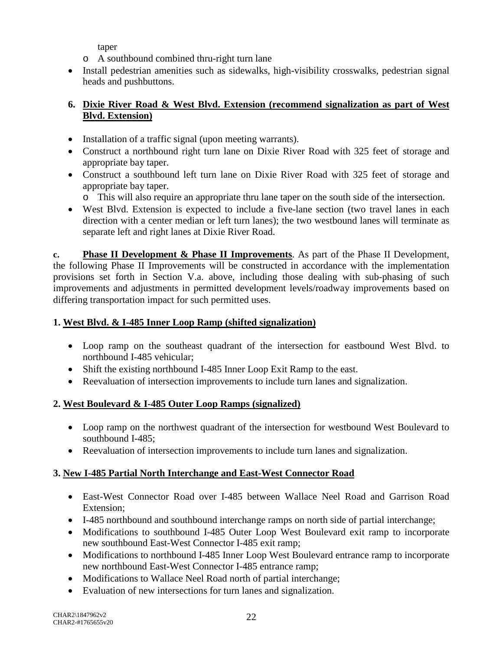taper

- o A southbound combined thru-right turn lane
- Install pedestrian amenities such as sidewalks, high-visibility crosswalks, pedestrian signal heads and pushbuttons.

# **6. Dixie River Road & West Blvd. Extension (recommend signalization as part of West Blvd. Extension)**

- Installation of a traffic signal (upon meeting warrants).
- Construct a northbound right turn lane on Dixie River Road with 325 feet of storage and appropriate bay taper.
- Construct a southbound left turn lane on Dixie River Road with 325 feet of storage and appropriate bay taper.
	- o This will also require an appropriate thru lane taper on the south side of the intersection.
- West Blvd. Extension is expected to include a five-lane section (two travel lanes in each direction with a center median or left turn lanes); the two westbound lanes will terminate as separate left and right lanes at Dixie River Road.

**c. Phase II Development & Phase II Improvements**. As part of the Phase II Development, the following Phase II Improvements will be constructed in accordance with the implementation provisions set forth in Section V.a. above, including those dealing with sub-phasing of such improvements and adjustments in permitted development levels/roadway improvements based on differing transportation impact for such permitted uses.

# **1. West Blvd. & I-485 Inner Loop Ramp (shifted signalization)**

- Loop ramp on the southeast quadrant of the intersection for eastbound West Blvd. to northbound I-485 vehicular;
- Shift the existing northbound I-485 Inner Loop Exit Ramp to the east.
- Reevaluation of intersection improvements to include turn lanes and signalization.

# **2. West Boulevard & I-485 Outer Loop Ramps (signalized)**

- Loop ramp on the northwest quadrant of the intersection for westbound West Boulevard to southbound I-485;
- Reevaluation of intersection improvements to include turn lanes and signalization.

# **3. New I-485 Partial North Interchange and East-West Connector Road**

- East-West Connector Road over I-485 between Wallace Neel Road and Garrison Road Extension;
- I-485 northbound and southbound interchange ramps on north side of partial interchange;
- Modifications to southbound I-485 Outer Loop West Boulevard exit ramp to incorporate new southbound East-West Connector I-485 exit ramp;
- Modifications to northbound I-485 Inner Loop West Boulevard entrance ramp to incorporate new northbound East-West Connector I-485 entrance ramp;
- Modifications to Wallace Neel Road north of partial interchange;
- Evaluation of new intersections for turn lanes and signalization.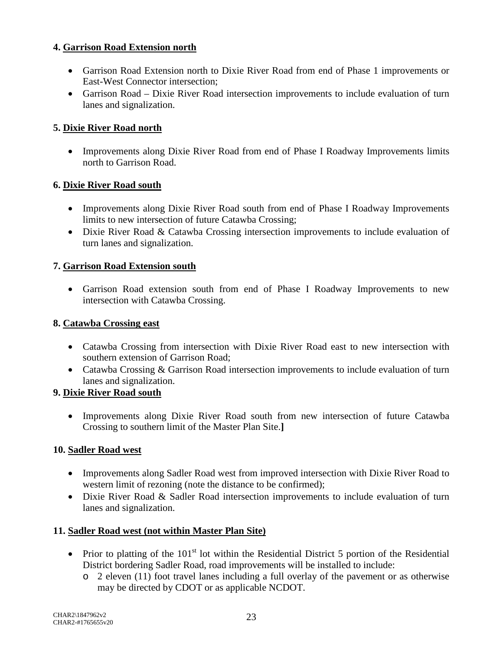## **4. Garrison Road Extension north**

- Garrison Road Extension north to Dixie River Road from end of Phase 1 improvements or East-West Connector intersection;
- Garrison Road Dixie River Road intersection improvements to include evaluation of turn lanes and signalization.

## **5. Dixie River Road north**

• Improvements along Dixie River Road from end of Phase I Roadway Improvements limits north to Garrison Road.

#### **6. Dixie River Road south**

- Improvements along Dixie River Road south from end of Phase I Roadway Improvements limits to new intersection of future Catawba Crossing;
- Dixie River Road & Catawba Crossing intersection improvements to include evaluation of turn lanes and signalization.

#### **7. Garrison Road Extension south**

• Garrison Road extension south from end of Phase I Roadway Improvements to new intersection with Catawba Crossing.

#### **8. Catawba Crossing east**

- Catawba Crossing from intersection with Dixie River Road east to new intersection with southern extension of Garrison Road;
- Catawba Crossing & Garrison Road intersection improvements to include evaluation of turn lanes and signalization.

#### **9. Dixie River Road south**

• Improvements along Dixie River Road south from new intersection of future Catawba Crossing to southern limit of the Master Plan Site.**]**

#### **10. Sadler Road west**

- Improvements along Sadler Road west from improved intersection with Dixie River Road to western limit of rezoning (note the distance to be confirmed);
- Dixie River Road & Sadler Road intersection improvements to include evaluation of turn lanes and signalization.

#### **11. Sadler Road west (not within Master Plan Site)**

- Prior to platting of the  $101<sup>st</sup>$  lot within the Residential District 5 portion of the Residential District bordering Sadler Road, road improvements will be installed to include:
	- $\circ$  2 eleven (11) foot travel lanes including a full overlay of the pavement or as otherwise may be directed by CDOT or as applicable NCDOT.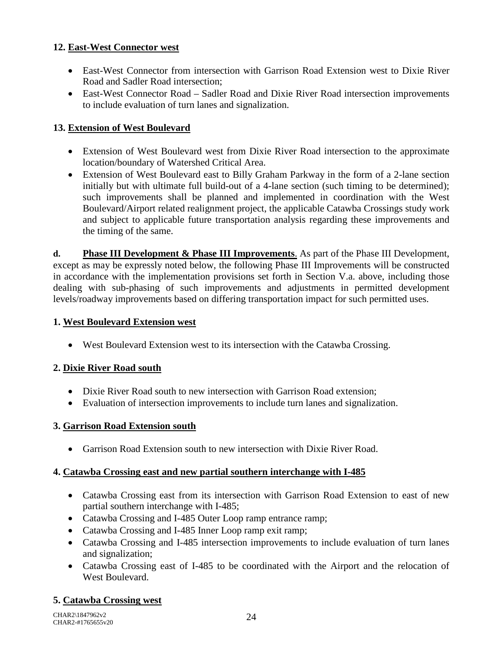## **12. East-West Connector west**

- East-West Connector from intersection with Garrison Road Extension west to Dixie River Road and Sadler Road intersection;
- East-West Connector Road Sadler Road and Dixie River Road intersection improvements to include evaluation of turn lanes and signalization.

# **13. Extension of West Boulevard**

- Extension of West Boulevard west from Dixie River Road intersection to the approximate location/boundary of Watershed Critical Area.
- Extension of West Boulevard east to Billy Graham Parkway in the form of a 2-lane section initially but with ultimate full build-out of a 4-lane section (such timing to be determined); such improvements shall be planned and implemented in coordination with the West Boulevard/Airport related realignment project, the applicable Catawba Crossings study work and subject to applicable future transportation analysis regarding these improvements and the timing of the same.

**d. Phase III Development & Phase III Improvements**. As part of the Phase III Development, except as may be expressly noted below, the following Phase III Improvements will be constructed in accordance with the implementation provisions set forth in Section V.a. above, including those dealing with sub-phasing of such improvements and adjustments in permitted development levels/roadway improvements based on differing transportation impact for such permitted uses.

## **1. West Boulevard Extension west**

• West Boulevard Extension west to its intersection with the Catawba Crossing.

# **2. Dixie River Road south**

- Dixie River Road south to new intersection with Garrison Road extension;
- Evaluation of intersection improvements to include turn lanes and signalization.

#### **3. Garrison Road Extension south**

• Garrison Road Extension south to new intersection with Dixie River Road.

#### **4. Catawba Crossing east and new partial southern interchange with I-485**

- Catawba Crossing east from its intersection with Garrison Road Extension to east of new partial southern interchange with I-485;
- Catawba Crossing and I-485 Outer Loop ramp entrance ramp;
- Catawba Crossing and I-485 Inner Loop ramp exit ramp;
- Catawba Crossing and I-485 intersection improvements to include evaluation of turn lanes and signalization;
- Catawba Crossing east of I-485 to be coordinated with the Airport and the relocation of West Boulevard.

# **5. Catawba Crossing west**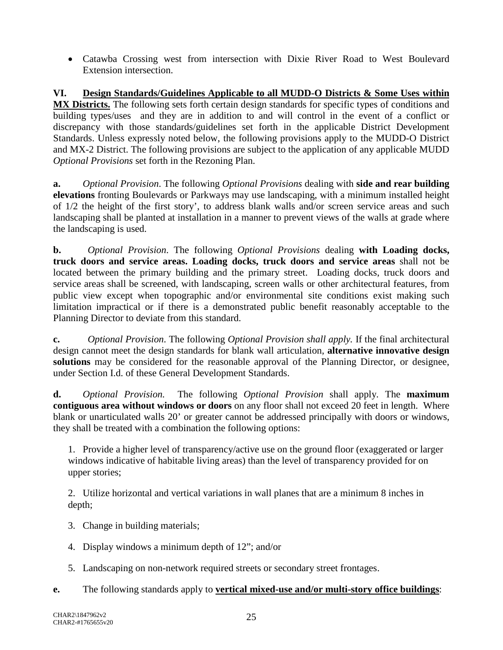• Catawba Crossing west from intersection with Dixie River Road to West Boulevard Extension intersection.

**VI. Design Standards/Guidelines Applicable to all MUDD-O Districts & Some Uses within MX Districts.** The following sets forth certain design standards for specific types of conditions and building types/uses and they are in addition to and will control in the event of a conflict or discrepancy with those standards/guidelines set forth in the applicable District Development Standards. Unless expressly noted below, the following provisions apply to the MUDD-O District and MX-2 District. The following provisions are subject to the application of any applicable MUDD *Optional Provisions* set forth in the Rezoning Plan.

**a.** *Optional Provision*. The following *Optional Provisions* dealing with **side and rear building elevations** fronting Boulevards or Parkways may use landscaping, with a minimum installed height of 1/2 the height of the first story', to address blank walls and/or screen service areas and such landscaping shall be planted at installation in a manner to prevent views of the walls at grade where the landscaping is used.

**b.** *Optional Provision*. The following *Optional Provisions* dealing **with Loading docks, truck doors and service areas. Loading docks, truck doors and service areas** shall not be located between the primary building and the primary street. Loading docks, truck doors and service areas shall be screened, with landscaping, screen walls or other architectural features, from public view except when topographic and/or environmental site conditions exist making such limitation impractical or if there is a demonstrated public benefit reasonably acceptable to the Planning Director to deviate from this standard.

**c.** *Optional Provision*. The following *Optional Provision shall apply.* If the final architectural design cannot meet the design standards for blank wall articulation, **alternative innovative design solutions** may be considered for the reasonable approval of the Planning Director, or designee, under Section I.d. of these General Development Standards.

**d.** *Optional Provision.* The following *Optional Provision* shall apply. The **maximum contiguous area without windows or doors** on any floor shall not exceed 20 feet in length. Where blank or unarticulated walls 20' or greater cannot be addressed principally with doors or windows, they shall be treated with a combination the following options:

1. Provide a higher level of transparency/active use on the ground floor (exaggerated or larger windows indicative of habitable living areas) than the level of transparency provided for on upper stories;

2. Utilize horizontal and vertical variations in wall planes that are a minimum 8 inches in depth;

- 3. Change in building materials;
- 4. Display windows a minimum depth of 12"; and/or
- 5. Landscaping on non-network required streets or secondary street frontages.
- **e.** The following standards apply to **vertical mixed-use and/or multi-story office buildings**: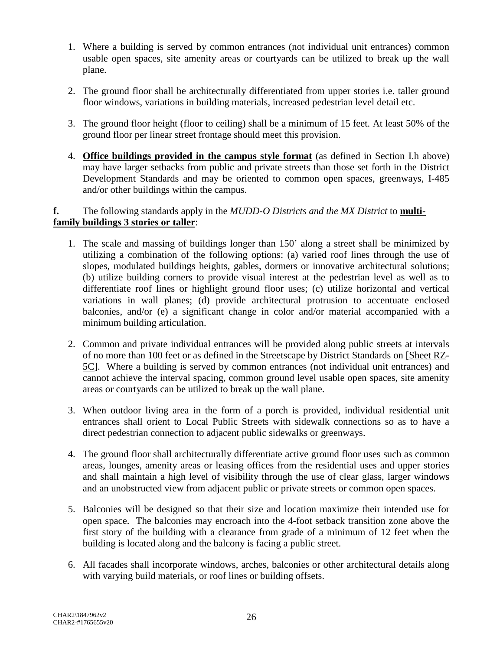- 1. Where a building is served by common entrances (not individual unit entrances) common usable open spaces, site amenity areas or courtyards can be utilized to break up the wall plane.
- 2. The ground floor shall be architecturally differentiated from upper stories i.e. taller ground floor windows, variations in building materials, increased pedestrian level detail etc.
- 3. The ground floor height (floor to ceiling) shall be a minimum of 15 feet. At least 50% of the ground floor per linear street frontage should meet this provision.
- 4. **Office buildings provided in the campus style format** (as defined in Section I.h above) may have larger setbacks from public and private streets than those set forth in the District Development Standards and may be oriented to common open spaces, greenways, I-485 and/or other buildings within the campus.

#### **f.** The following standards apply in the *MUDD-O Districts and the MX District* to **multifamily buildings 3 stories or taller**:

- 1. The scale and massing of buildings longer than 150' along a street shall be minimized by utilizing a combination of the following options: (a) varied roof lines through the use of slopes, modulated buildings heights, gables, dormers or innovative architectural solutions; (b) utilize building corners to provide visual interest at the pedestrian level as well as to differentiate roof lines or highlight ground floor uses; (c) utilize horizontal and vertical variations in wall planes; (d) provide architectural protrusion to accentuate enclosed balconies, and/or (e) a significant change in color and/or material accompanied with a minimum building articulation.
- 2. Common and private individual entrances will be provided along public streets at intervals of no more than 100 feet or as defined in the Streetscape by District Standards on [Sheet RZ-5C]. Where a building is served by common entrances (not individual unit entrances) and cannot achieve the interval spacing, common ground level usable open spaces, site amenity areas or courtyards can be utilized to break up the wall plane.
- 3. When outdoor living area in the form of a porch is provided, individual residential unit entrances shall orient to Local Public Streets with sidewalk connections so as to have a direct pedestrian connection to adjacent public sidewalks or greenways.
- 4. The ground floor shall architecturally differentiate active ground floor uses such as common areas, lounges, amenity areas or leasing offices from the residential uses and upper stories and shall maintain a high level of visibility through the use of clear glass, larger windows and an unobstructed view from adjacent public or private streets or common open spaces.
- 5. Balconies will be designed so that their size and location maximize their intended use for open space. The balconies may encroach into the 4-foot setback transition zone above the first story of the building with a clearance from grade of a minimum of 12 feet when the building is located along and the balcony is facing a public street.
- 6. All facades shall incorporate windows, arches, balconies or other architectural details along with varying build materials, or roof lines or building offsets.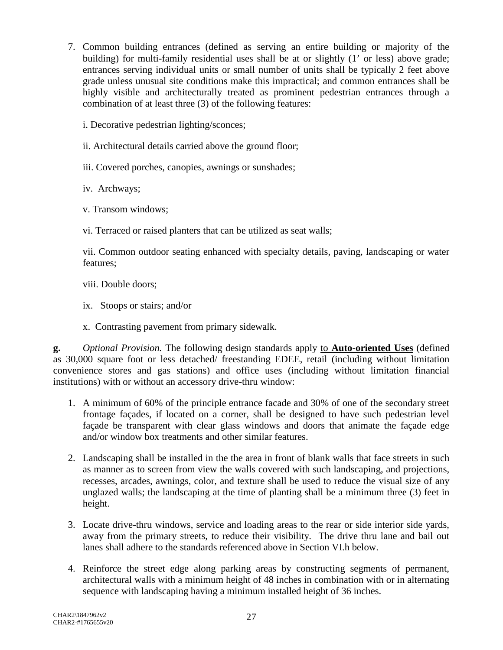- 7. Common building entrances (defined as serving an entire building or majority of the building) for multi-family residential uses shall be at or slightly (1' or less) above grade; entrances serving individual units or small number of units shall be typically 2 feet above grade unless unusual site conditions make this impractical; and common entrances shall be highly visible and architecturally treated as prominent pedestrian entrances through a combination of at least three (3) of the following features:
	- i. Decorative pedestrian lighting/sconces;
	- ii. Architectural details carried above the ground floor;
	- iii. Covered porches, canopies, awnings or sunshades;
	- iv. Archways;
	- v. Transom windows;
	- vi. Terraced or raised planters that can be utilized as seat walls;

vii. Common outdoor seating enhanced with specialty details, paving, landscaping or water features;

- viii. Double doors;
- ix. Stoops or stairs; and/or
- x. Contrasting pavement from primary sidewalk.

**g.** *Optional Provision.* The following design standards apply to **Auto-oriented Uses** (defined as 30,000 square foot or less detached/ freestanding EDEE, retail (including without limitation convenience stores and gas stations) and office uses (including without limitation financial institutions) with or without an accessory drive-thru window:

- 1. A minimum of 60% of the principle entrance facade and 30% of one of the secondary street frontage façades, if located on a corner, shall be designed to have such pedestrian level façade be transparent with clear glass windows and doors that animate the façade edge and/or window box treatments and other similar features.
- 2. Landscaping shall be installed in the the area in front of blank walls that face streets in such as manner as to screen from view the walls covered with such landscaping, and projections, recesses, arcades, awnings, color, and texture shall be used to reduce the visual size of any unglazed walls; the landscaping at the time of planting shall be a minimum three (3) feet in height.
- 3. Locate drive-thru windows, service and loading areas to the rear or side interior side yards, away from the primary streets, to reduce their visibility. The drive thru lane and bail out lanes shall adhere to the standards referenced above in Section VI.h below.
- 4. Reinforce the street edge along parking areas by constructing segments of permanent, architectural walls with a minimum height of 48 inches in combination with or in alternating sequence with landscaping having a minimum installed height of 36 inches.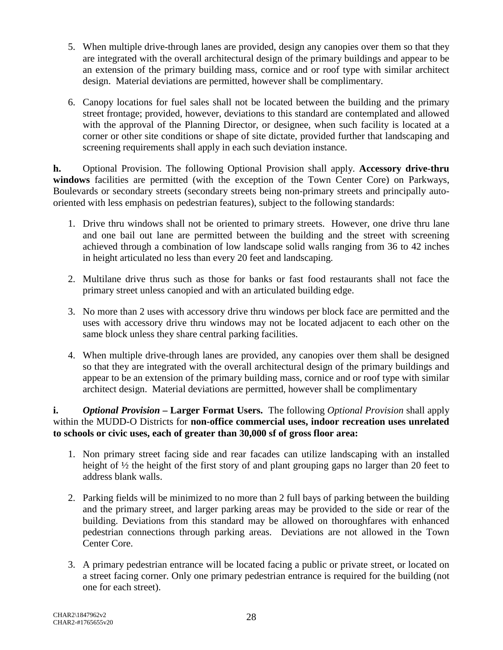- 5. When multiple drive-through lanes are provided, design any canopies over them so that they are integrated with the overall architectural design of the primary buildings and appear to be an extension of the primary building mass, cornice and or roof type with similar architect design. Material deviations are permitted, however shall be complimentary.
- 6. Canopy locations for fuel sales shall not be located between the building and the primary street frontage; provided, however, deviations to this standard are contemplated and allowed with the approval of the Planning Director, or designee, when such facility is located at a corner or other site conditions or shape of site dictate, provided further that landscaping and screening requirements shall apply in each such deviation instance.

**h.** Optional Provision. The following Optional Provision shall apply. **Accessory drive-thru windows** facilities are permitted (with the exception of the Town Center Core) on Parkways, Boulevards or secondary streets (secondary streets being non-primary streets and principally autooriented with less emphasis on pedestrian features), subject to the following standards:

- 1. Drive thru windows shall not be oriented to primary streets. However, one drive thru lane and one bail out lane are permitted between the building and the street with screening achieved through a combination of low landscape solid walls ranging from 36 to 42 inches in height articulated no less than every 20 feet and landscaping.
- 2. Multilane drive thrus such as those for banks or fast food restaurants shall not face the primary street unless canopied and with an articulated building edge.
- 3. No more than 2 uses with accessory drive thru windows per block face are permitted and the uses with accessory drive thru windows may not be located adjacent to each other on the same block unless they share central parking facilities.
- 4. When multiple drive-through lanes are provided, any canopies over them shall be designed so that they are integrated with the overall architectural design of the primary buildings and appear to be an extension of the primary building mass, cornice and or roof type with similar architect design. Material deviations are permitted, however shall be complimentary

**i.** *Optional Provision* **– Larger Format Users.** The following *Optional Provision* shall apply within the MUDD-O Districts for **non-office commercial uses, indoor recreation uses unrelated to schools or civic uses, each of greater than 30,000 sf of gross floor area:**

- 1. Non primary street facing side and rear facades can utilize landscaping with an installed height of  $\frac{1}{2}$  the height of the first story of and plant grouping gaps no larger than 20 feet to address blank walls.
- 2. Parking fields will be minimized to no more than 2 full bays of parking between the building and the primary street, and larger parking areas may be provided to the side or rear of the building. Deviations from this standard may be allowed on thoroughfares with enhanced pedestrian connections through parking areas. Deviations are not allowed in the Town Center Core.
- 3. A primary pedestrian entrance will be located facing a public or private street, or located on a street facing corner. Only one primary pedestrian entrance is required for the building (not one for each street).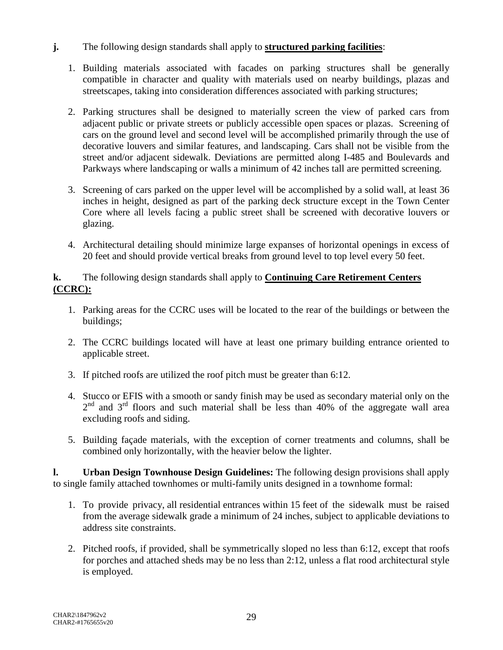- **j.** The following design standards shall apply to **structured parking facilities**:
	- 1. Building materials associated with facades on parking structures shall be generally compatible in character and quality with materials used on nearby buildings, plazas and streetscapes, taking into consideration differences associated with parking structures;
	- 2. Parking structures shall be designed to materially screen the view of parked cars from adjacent public or private streets or publicly accessible open spaces or plazas. Screening of cars on the ground level and second level will be accomplished primarily through the use of decorative louvers and similar features, and landscaping. Cars shall not be visible from the street and/or adjacent sidewalk. Deviations are permitted along I-485 and Boulevards and Parkways where landscaping or walls a minimum of 42 inches tall are permitted screening.
	- 3. Screening of cars parked on the upper level will be accomplished by a solid wall, at least 36 inches in height, designed as part of the parking deck structure except in the Town Center Core where all levels facing a public street shall be screened with decorative louvers or glazing.
	- 4. Architectural detailing should minimize large expanses of horizontal openings in excess of 20 feet and should provide vertical breaks from ground level to top level every 50 feet.

## **k.** The following design standards shall apply to **Continuing Care Retirement Centers (CCRC):**

- 1. Parking areas for the CCRC uses will be located to the rear of the buildings or between the buildings;
- 2. The CCRC buildings located will have at least one primary building entrance oriented to applicable street.
- 3. If pitched roofs are utilized the roof pitch must be greater than 6:12.
- 4. Stucco or EFIS with a smooth or sandy finish may be used as secondary material only on the  $2<sup>nd</sup>$  and  $3<sup>rd</sup>$  floors and such material shall be less than 40% of the aggregate wall area excluding roofs and siding.
- 5. Building façade materials, with the exception of corner treatments and columns, shall be combined only horizontally, with the heavier below the lighter.

**l. Urban Design Townhouse Design Guidelines:** The following design provisions shall apply to single family attached townhomes or multi-family units designed in a townhome formal:

- 1. To provide privacy, all residential entrances within 15 feet of the sidewalk must be raised from the average sidewalk grade a minimum of 24 inches, subject to applicable deviations to address site constraints.
- 2. Pitched roofs, if provided, shall be symmetrically sloped no less than 6:12, except that roofs for porches and attached sheds may be no less than 2:12, unless a flat rood architectural style is employed.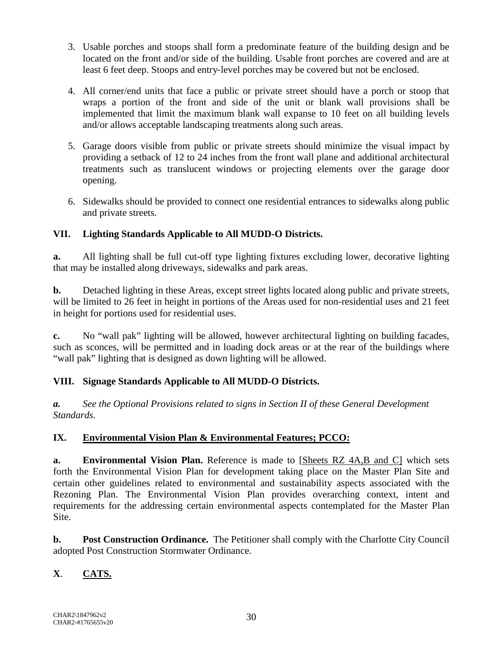- 3. Usable porches and stoops shall form a predominate feature of the building design and be located on the front and/or side of the building. Usable front porches are covered and are at least 6 feet deep. Stoops and entry-level porches may be covered but not be enclosed.
- 4. All corner/end units that face a public or private street should have a porch or stoop that wraps a portion of the front and side of the unit or blank wall provisions shall be implemented that limit the maximum blank wall expanse to 10 feet on all building levels and/or allows acceptable landscaping treatments along such areas.
- 5. Garage doors visible from public or private streets should minimize the visual impact by providing a setback of 12 to 24 inches from the front wall plane and additional architectural treatments such as translucent windows or projecting elements over the garage door opening.
- 6. Sidewalks should be provided to connect one residential entrances to sidewalks along public and private streets.

# **VII. Lighting Standards Applicable to All MUDD-O Districts.**

**a.** All lighting shall be full cut-off type lighting fixtures excluding lower, decorative lighting that may be installed along driveways, sidewalks and park areas.

**b.** Detached lighting in these Areas, except street lights located along public and private streets, will be limited to 26 feet in height in portions of the Areas used for non-residential uses and 21 feet in height for portions used for residential uses.

**c.** No "wall pak" lighting will be allowed, however architectural lighting on building facades, such as sconces, will be permitted and in loading dock areas or at the rear of the buildings where "wall pak" lighting that is designed as down lighting will be allowed.

# **VIII. Signage Standards Applicable to All MUDD-O Districts.**

*a. See the Optional Provisions related to signs in Section II of these General Development Standards.*

#### **IX. Environmental Vision Plan & Environmental Features; PCCO:**

**a. Environmental Vision Plan.** Reference is made to [Sheets RZ 4A,B and C] which sets forth the Environmental Vision Plan for development taking place on the Master Plan Site and certain other guidelines related to environmental and sustainability aspects associated with the Rezoning Plan. The Environmental Vision Plan provides overarching context, intent and requirements for the addressing certain environmental aspects contemplated for the Master Plan Site.

**b. Post Construction Ordinance.** The Petitioner shall comply with the Charlotte City Council adopted Post Construction Stormwater Ordinance.

# **X**. **CATS.**